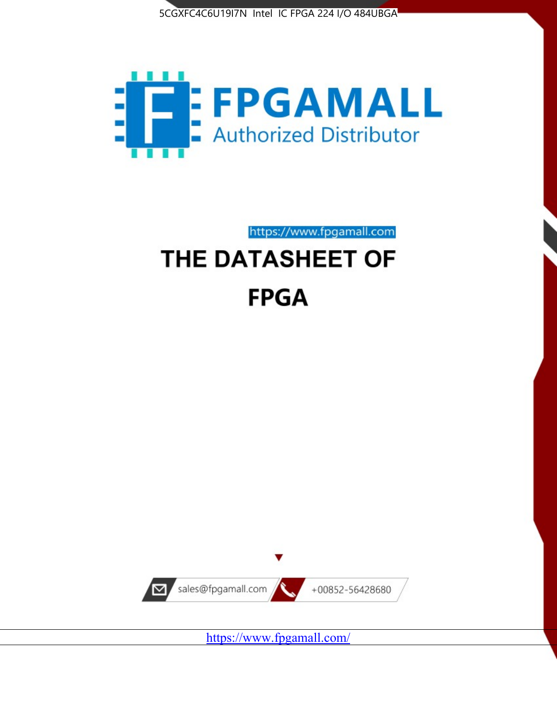



https://www.fpgamall.com

# THE DATASHEET OF **FPGA**



<https://www.fpgamall.com/>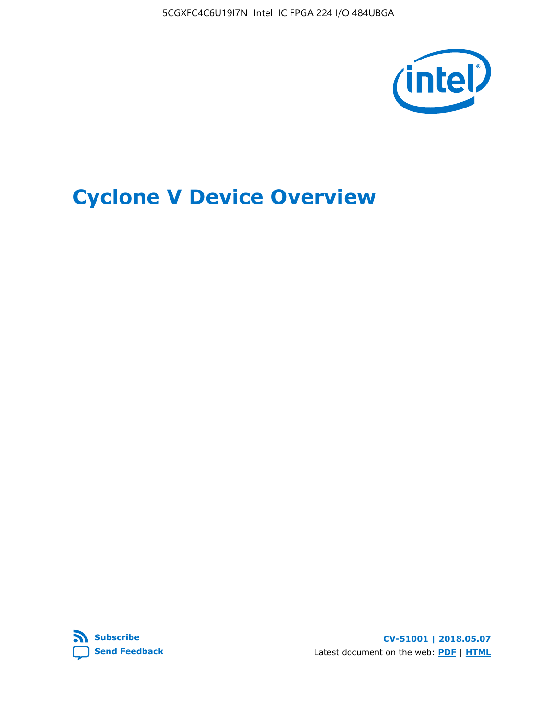5CGXFC4C6U19I7N Intel IC FPGA 224 I/O 484UBGA



# **Cyclone V Device Overview**



**CV-51001 | 2018.05.07** Latest document on the web: **[PDF](https://www.altera.com/en_US/pdfs/literature/hb/cyclone-v/cv_51001.pdf)** | **[HTML](https://www.altera.com/documentation/sam1403480548153.html)**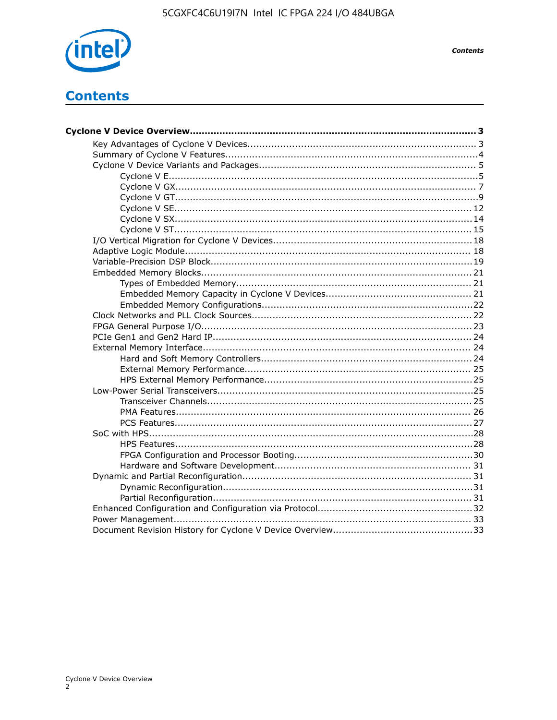

**Contents** 

# **Contents**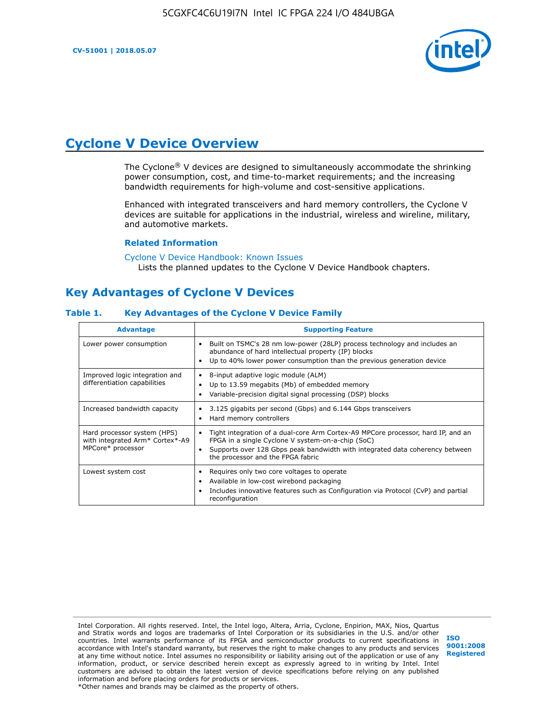

# **Cyclone V Device Overview**

The Cyclone® V devices are designed to simultaneously accommodate the shrinking power consumption, cost, and time-to-market requirements; and the increasing bandwidth requirements for high-volume and cost-sensitive applications.

Enhanced with integrated transceivers and hard memory controllers, the Cyclone V devices are suitable for applications in the industrial, wireless and wireline, military, and automotive markets.

#### **Related Information**

[Cyclone V Device Handbook: Known Issues](https://www.altera.com/support/support-resources/knowledge-base/solutions/rd12152011_347.html) Lists the planned updates to the Cyclone V Device Handbook chapters.

# **Key Advantages of Cyclone V Devices**

#### **Table 1. Key Advantages of the Cyclone V Device Family**

| <b>Advantage</b>                                                                    | <b>Supporting Feature</b>                                                                                                                                                                                                                                                    |
|-------------------------------------------------------------------------------------|------------------------------------------------------------------------------------------------------------------------------------------------------------------------------------------------------------------------------------------------------------------------------|
| Lower power consumption                                                             | Built on TSMC's 28 nm low-power (28LP) process technology and includes an<br>٠<br>abundance of hard intellectual property (IP) blocks<br>Up to 40% lower power consumption than the previous generation device<br>٠                                                          |
| Improved logic integration and<br>differentiation capabilities                      | 8-input adaptive logic module (ALM)<br>٠<br>Up to 13.59 megabits (Mb) of embedded memory<br>٠<br>Variable-precision digital signal processing (DSP) blocks<br>٠                                                                                                              |
| Increased bandwidth capacity                                                        | 3.125 gigabits per second (Gbps) and 6.144 Gbps transceivers<br>٠<br>Hard memory controllers<br>٠                                                                                                                                                                            |
| Hard processor system (HPS)<br>with integrated Arm* Cortex*-A9<br>MPCore* processor | Tight integration of a dual-core Arm Cortex-A9 MPCore processor, hard IP, and an<br>$\bullet$<br>FPGA in a single Cyclone V system-on-a-chip (SoC)<br>Supports over 128 Gbps peak bandwidth with integrated data coherency between<br>٠<br>the processor and the FPGA fabric |
| Lowest system cost                                                                  | Requires only two core voltages to operate<br>٠<br>Available in low-cost wirebond packaging<br>٠<br>Includes innovative features such as Configuration via Protocol (CvP) and partial<br>٠<br>reconfiguration                                                                |

Intel Corporation. All rights reserved. Intel, the Intel logo, Altera, Arria, Cyclone, Enpirion, MAX, Nios, Quartus and Stratix words and logos are trademarks of Intel Corporation or its subsidiaries in the U.S. and/or other countries. Intel warrants performance of its FPGA and semiconductor products to current specifications in accordance with Intel's standard warranty, but reserves the right to make changes to any products and services at any time without notice. Intel assumes no responsibility or liability arising out of the application or use of any information, product, or service described herein except as expressly agreed to in writing by Intel. Intel customers are advised to obtain the latest version of device specifications before relying on any published information and before placing orders for products or services. \*Other names and brands may be claimed as the property of others.

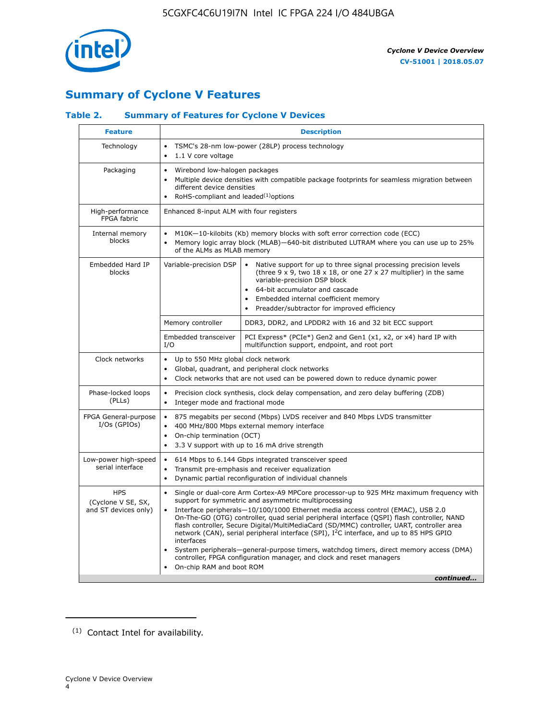

# **Summary of Cyclone V Features**

## **Table 2. Summary of Features for Cyclone V Devices**

| <b>Feature</b>                                           | <b>Description</b>                                                                                                                                                                                                                                                                                                                        |                                                                                                                                                                                                                                                                                                                                                                                                                                                                                                                                                                                                                                                                                                         |  |  |  |  |  |  |
|----------------------------------------------------------|-------------------------------------------------------------------------------------------------------------------------------------------------------------------------------------------------------------------------------------------------------------------------------------------------------------------------------------------|---------------------------------------------------------------------------------------------------------------------------------------------------------------------------------------------------------------------------------------------------------------------------------------------------------------------------------------------------------------------------------------------------------------------------------------------------------------------------------------------------------------------------------------------------------------------------------------------------------------------------------------------------------------------------------------------------------|--|--|--|--|--|--|
| Technology                                               | $\bullet$<br>1.1 V core voltage<br>$\bullet$                                                                                                                                                                                                                                                                                              | TSMC's 28-nm low-power (28LP) process technology                                                                                                                                                                                                                                                                                                                                                                                                                                                                                                                                                                                                                                                        |  |  |  |  |  |  |
| Packaging                                                | $\bullet$                                                                                                                                                                                                                                                                                                                                 | Wirebond low-halogen packages<br>Multiple device densities with compatible package footprints for seamless migration between<br>different device densities<br>RoHS-compliant and leaded $(1)$ options                                                                                                                                                                                                                                                                                                                                                                                                                                                                                                   |  |  |  |  |  |  |
| High-performance<br>FPGA fabric                          | Enhanced 8-input ALM with four registers                                                                                                                                                                                                                                                                                                  |                                                                                                                                                                                                                                                                                                                                                                                                                                                                                                                                                                                                                                                                                                         |  |  |  |  |  |  |
| Internal memory<br>blocks                                | of the ALMs as MLAB memory                                                                                                                                                                                                                                                                                                                | M10K-10-kilobits (Kb) memory blocks with soft error correction code (ECC)<br>Memory logic array block (MLAB)-640-bit distributed LUTRAM where you can use up to 25%                                                                                                                                                                                                                                                                                                                                                                                                                                                                                                                                     |  |  |  |  |  |  |
| Embedded Hard IP<br>blocks                               | Variable-precision DSP<br>Native support for up to three signal processing precision levels<br>(three $9 \times 9$ , two $18 \times 18$ , or one 27 x 27 multiplier) in the same<br>variable-precision DSP block<br>64-bit accumulator and cascade<br>Embedded internal coefficient memory<br>Preadder/subtractor for improved efficiency |                                                                                                                                                                                                                                                                                                                                                                                                                                                                                                                                                                                                                                                                                                         |  |  |  |  |  |  |
|                                                          | Memory controller                                                                                                                                                                                                                                                                                                                         | DDR3, DDR2, and LPDDR2 with 16 and 32 bit ECC support                                                                                                                                                                                                                                                                                                                                                                                                                                                                                                                                                                                                                                                   |  |  |  |  |  |  |
|                                                          | Embedded transceiver<br>I/O                                                                                                                                                                                                                                                                                                               | PCI Express* (PCIe*) Gen2 and Gen1 (x1, x2, or x4) hard IP with<br>multifunction support, endpoint, and root port                                                                                                                                                                                                                                                                                                                                                                                                                                                                                                                                                                                       |  |  |  |  |  |  |
| Clock networks                                           | Up to 550 MHz global clock network<br>$\bullet$<br>$\bullet$                                                                                                                                                                                                                                                                              | Global, quadrant, and peripheral clock networks<br>Clock networks that are not used can be powered down to reduce dynamic power                                                                                                                                                                                                                                                                                                                                                                                                                                                                                                                                                                         |  |  |  |  |  |  |
| Phase-locked loops<br>(PLLs)                             | $\bullet$<br>Integer mode and fractional mode<br>$\bullet$                                                                                                                                                                                                                                                                                | Precision clock synthesis, clock delay compensation, and zero delay buffering (ZDB)                                                                                                                                                                                                                                                                                                                                                                                                                                                                                                                                                                                                                     |  |  |  |  |  |  |
| FPGA General-purpose<br>$I/Os$ (GPIOs)                   | $\bullet$<br>$\bullet$<br>On-chip termination (OCT)<br>$\bullet$                                                                                                                                                                                                                                                                          | 875 megabits per second (Mbps) LVDS receiver and 840 Mbps LVDS transmitter<br>400 MHz/800 Mbps external memory interface<br>3.3 V support with up to 16 mA drive strength                                                                                                                                                                                                                                                                                                                                                                                                                                                                                                                               |  |  |  |  |  |  |
| Low-power high-speed<br>serial interface                 | $\bullet$<br>$\bullet$<br>$\bullet$                                                                                                                                                                                                                                                                                                       | 614 Mbps to 6.144 Gbps integrated transceiver speed<br>Transmit pre-emphasis and receiver equalization<br>Dynamic partial reconfiguration of individual channels                                                                                                                                                                                                                                                                                                                                                                                                                                                                                                                                        |  |  |  |  |  |  |
| <b>HPS</b><br>(Cyclone V SE, SX,<br>and ST devices only) | $\bullet$<br>$\bullet$<br>interfaces<br>On-chip RAM and boot ROM                                                                                                                                                                                                                                                                          | Single or dual-core Arm Cortex-A9 MPCore processor-up to 925 MHz maximum frequency with<br>support for symmetric and asymmetric multiprocessing<br>Interface peripherals-10/100/1000 Ethernet media access control (EMAC), USB 2.0<br>On-The-GO (OTG) controller, quad serial peripheral interface (QSPI) flash controller, NAND<br>flash controller, Secure Digital/MultiMediaCard (SD/MMC) controller, UART, controller area<br>network (CAN), serial peripheral interface (SPI), I <sup>2</sup> C interface, and up to 85 HPS GPIO<br>System peripherals—general-purpose timers, watchdog timers, direct memory access (DMA)<br>controller, FPGA configuration manager, and clock and reset managers |  |  |  |  |  |  |
|                                                          |                                                                                                                                                                                                                                                                                                                                           | continued                                                                                                                                                                                                                                                                                                                                                                                                                                                                                                                                                                                                                                                                                               |  |  |  |  |  |  |

<sup>(1)</sup> Contact Intel for availability.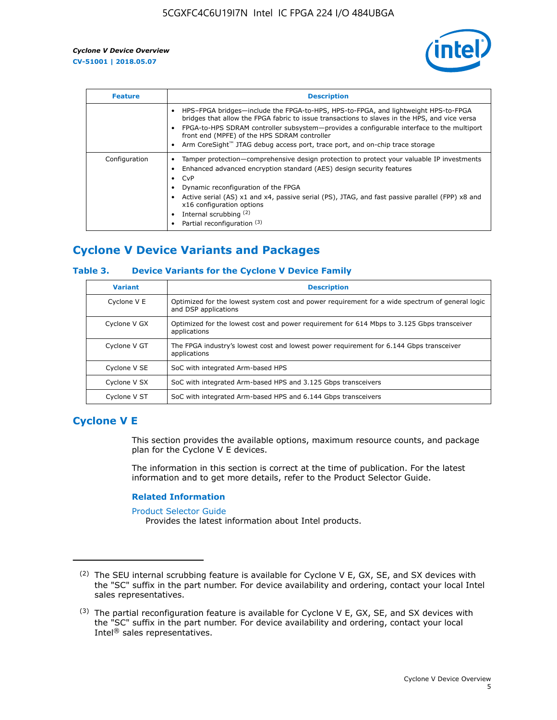

| <b>Feature</b> | <b>Description</b>                                                                                                                                                                                                                                                                                                                                                                                                           |  |  |  |  |  |  |
|----------------|------------------------------------------------------------------------------------------------------------------------------------------------------------------------------------------------------------------------------------------------------------------------------------------------------------------------------------------------------------------------------------------------------------------------------|--|--|--|--|--|--|
|                | HPS-FPGA bridges—include the FPGA-to-HPS, HPS-to-FPGA, and lightweight HPS-to-FPGA<br>bridges that allow the FPGA fabric to issue transactions to slaves in the HPS, and vice versa<br>FPGA-to-HPS SDRAM controller subsystem—provides a configurable interface to the multiport<br>front end (MPFE) of the HPS SDRAM controller<br>Arm CoreSight <sup>™</sup> JTAG debug access port, trace port, and on-chip trace storage |  |  |  |  |  |  |
| Configuration  | Tamper protection—comprehensive design protection to protect your valuable IP investments<br>Enhanced advanced encryption standard (AES) design security features<br>CvP<br>$\bullet$<br>Dynamic reconfiguration of the FPGA<br>Active serial (AS) x1 and x4, passive serial (PS), JTAG, and fast passive parallel (FPP) x8 and<br>x16 configuration options<br>Internal scrubbing (2)<br>Partial reconfiguration (3)        |  |  |  |  |  |  |

# **Cyclone V Device Variants and Packages**

#### **Table 3. Device Variants for the Cyclone V Device Family**

| <b>Variant</b> | <b>Description</b>                                                                                                      |
|----------------|-------------------------------------------------------------------------------------------------------------------------|
| Cyclone V E    | Optimized for the lowest system cost and power requirement for a wide spectrum of general logic<br>and DSP applications |
| Cyclone V GX   | Optimized for the lowest cost and power requirement for 614 Mbps to 3.125 Gbps transceiver<br>applications              |
| Cyclone V GT   | The FPGA industry's lowest cost and lowest power requirement for 6.144 Gbps transceiver<br>applications                 |
| Cyclone V SE   | SoC with integrated Arm-based HPS                                                                                       |
| Cyclone V SX   | SoC with integrated Arm-based HPS and 3.125 Gbps transceivers                                                           |
| Cyclone V ST   | SoC with integrated Arm-based HPS and 6.144 Gbps transceivers                                                           |

# **Cyclone V E**

This section provides the available options, maximum resource counts, and package plan for the Cyclone V E devices.

The information in this section is correct at the time of publication. For the latest information and to get more details, refer to the Product Selector Guide.

#### **Related Information**

[Product Selector Guide](https://www.altera.com/products/product-selector-guide.html)

Provides the latest information about Intel products.

<sup>(2)</sup> The SEU internal scrubbing feature is available for Cyclone V E, GX, SE, and SX devices with the "SC" suffix in the part number. For device availability and ordering, contact your local Intel sales representatives.

 $(3)$  The partial reconfiguration feature is available for Cyclone V E, GX, SE, and SX devices with the "SC" suffix in the part number. For device availability and ordering, contact your local Intel® sales representatives.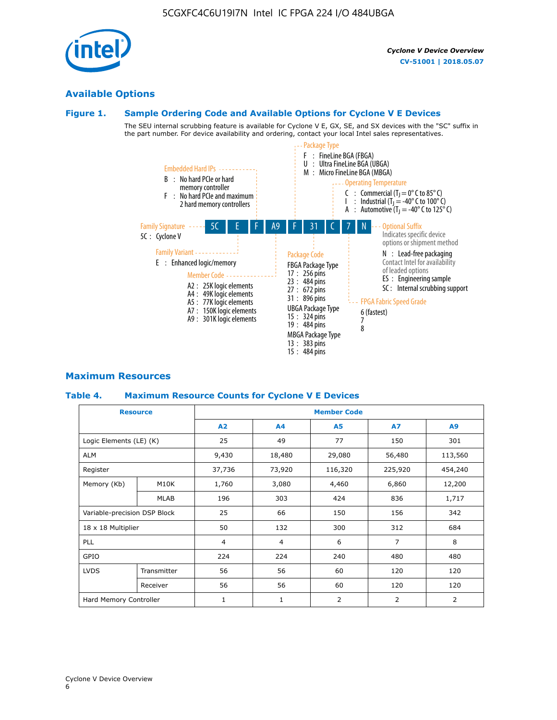



## **Available Options**

#### **Figure 1. Sample Ordering Code and Available Options for Cyclone V E Devices**

The SEU internal scrubbing feature is available for Cyclone V E, GX, SE, and SX devices with the "SC" suffix in the part number. For device availability and ordering, contact your local Intel sales representatives.



## **Maximum Resources**

#### **Table 4. Maximum Resource Counts for Cyclone V E Devices**

|                              | <b>Resource</b> | <b>Member Code</b> |                |                |                |         |  |  |
|------------------------------|-----------------|--------------------|----------------|----------------|----------------|---------|--|--|
|                              |                 | A2                 | A4             | <b>A5</b>      | <b>A7</b>      | A9      |  |  |
| Logic Elements (LE) (K)      |                 | 25                 | 49             | 77             | 150            | 301     |  |  |
| <b>ALM</b>                   |                 | 9,430              | 18,480         | 29,080         | 56,480         | 113,560 |  |  |
| Register                     |                 | 37,736             | 73,920         | 116,320        | 225,920        | 454,240 |  |  |
| Memory (Kb)                  | M10K            | 1,760              | 3,080          | 4,460          | 6,860          | 12,200  |  |  |
|                              | <b>MLAB</b>     | 196                | 303            | 424            | 836            | 1,717   |  |  |
| Variable-precision DSP Block |                 | 25                 | 66             | 150            | 156            | 342     |  |  |
| 18 x 18 Multiplier           |                 | 50                 | 132            | 300            | 312            | 684     |  |  |
| <b>PLL</b>                   |                 | 4                  | $\overline{4}$ | 6              | $\overline{7}$ | 8       |  |  |
| GPIO                         |                 | 224<br>224         |                | 240            | 480            | 480     |  |  |
| <b>LVDS</b>                  | Transmitter     | 56                 | 56             | 60             | 120            | 120     |  |  |
|                              | Receiver        | 56                 | 56             | 60             | 120            | 120     |  |  |
| Hard Memory Controller       |                 | $\mathbf{1}$       | $\mathbf{1}$   | $\overline{2}$ | $\overline{2}$ | 2       |  |  |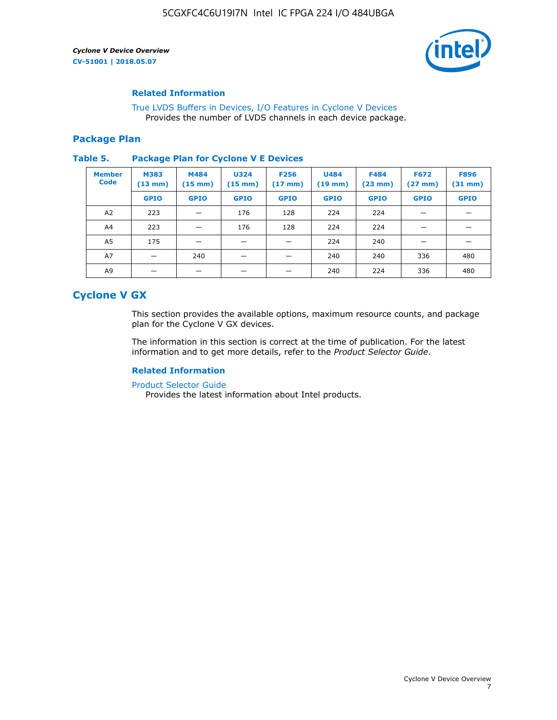

#### **Related Information**

[True LVDS Buffers in Devices, I/O Features in Cyclone V Devices](https://www.altera.com/documentation/sam1403481100977.html#sam1403480885395) Provides the number of LVDS channels in each device package.

#### **Package Plan**

#### **Table 5. Package Plan for Cyclone V E Devices**

| <b>Member</b><br><b>Code</b> | <b>M383</b><br>$(13 \text{ mm})$ | M484<br>$(15 \text{ mm})$ | <b>U324</b><br>$(15 \text{ mm})$ | <b>F256</b><br>$(17 \text{ mm})$ | <b>U484</b><br>$(19$ mm) | <b>F484</b><br>$(23$ mm $)$ | <b>F672</b><br>$(27 \text{ mm})$ | <b>F896</b><br>$(31 \text{ mm})$ |
|------------------------------|----------------------------------|---------------------------|----------------------------------|----------------------------------|--------------------------|-----------------------------|----------------------------------|----------------------------------|
|                              | <b>GPIO</b>                      | <b>GPIO</b>               | <b>GPIO</b>                      | <b>GPIO</b>                      | <b>GPIO</b>              | <b>GPIO</b>                 | <b>GPIO</b>                      | <b>GPIO</b>                      |
| A <sub>2</sub>               | 223                              |                           | 176                              | 128                              | 224                      | 224                         |                                  |                                  |
| A4                           | 223                              |                           | 176                              | 128                              | 224                      | 224                         | –                                |                                  |
| A <sub>5</sub>               | 175                              |                           |                                  |                                  | 224                      | 240                         |                                  |                                  |
| A7                           |                                  | 240                       |                                  |                                  | 240                      | 240                         | 336                              | 480                              |
| A9                           |                                  |                           |                                  |                                  | 240                      | 224                         | 336                              | 480                              |

# **Cyclone V GX**

This section provides the available options, maximum resource counts, and package plan for the Cyclone V GX devices.

The information in this section is correct at the time of publication. For the latest information and to get more details, refer to the *Product Selector Guide*.

#### **Related Information**

[Product Selector Guide](https://www.altera.com/products/product-selector-guide.html)

Provides the latest information about Intel products.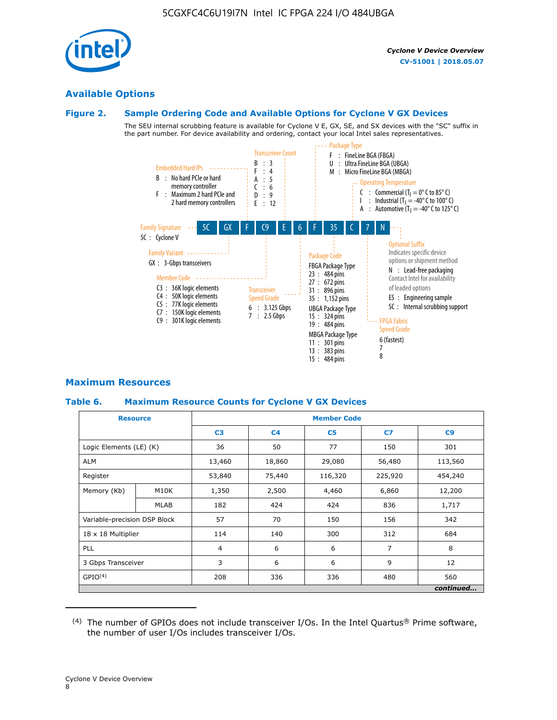

## **Available Options**

#### **Figure 2. Sample Ordering Code and Available Options for Cyclone V GX Devices**

The SEU internal scrubbing feature is available for Cyclone V E, GX, SE, and SX devices with the "SC" suffix in the part number. For device availability and ordering, contact your local Intel sales representatives.



## **Maximum Resources**

#### **Table 6. Maximum Resource Counts for Cyclone V GX Devices**

|                              | <b>Resource</b> | <b>Member Code</b> |                |                |         |           |                |   |
|------------------------------|-----------------|--------------------|----------------|----------------|---------|-----------|----------------|---|
|                              |                 | C <sub>3</sub>     | C <sub>4</sub> | C <sub>5</sub> | C7      | C9        |                |   |
| Logic Elements (LE) (K)      |                 | 36                 | 50             | 77             | 150     | 301       |                |   |
| <b>ALM</b>                   |                 | 13,460             | 18,860         | 29,080         | 56,480  | 113,560   |                |   |
| Register                     |                 | 53,840             | 75,440         | 116,320        | 225,920 | 454,240   |                |   |
| Memory (Kb)                  | M10K            | 1,350              | 2,500          | 4,460          | 6,860   | 12,200    |                |   |
|                              | <b>MLAB</b>     | 182                | 424            | 424            | 836     | 1,717     |                |   |
| Variable-precision DSP Block |                 | 57                 | 70             | 150            | 156     | 342       |                |   |
| 18 x 18 Multiplier           |                 | 114                | 140            | 300            | 312     | 684       |                |   |
| PLL                          |                 |                    |                |                | 6       | 6         | $\overline{7}$ | 8 |
| 3 Gbps Transceiver           |                 | 3                  | 6              | 6              | 9       | 12        |                |   |
| GPIO <sup>(4)</sup>          |                 | 208                | 336            | 336            | 480     | 560       |                |   |
|                              |                 |                    |                |                |         | continued |                |   |

 $(4)$  The number of GPIOs does not include transceiver I/Os. In the Intel Quartus® Prime software, the number of user I/Os includes transceiver I/Os.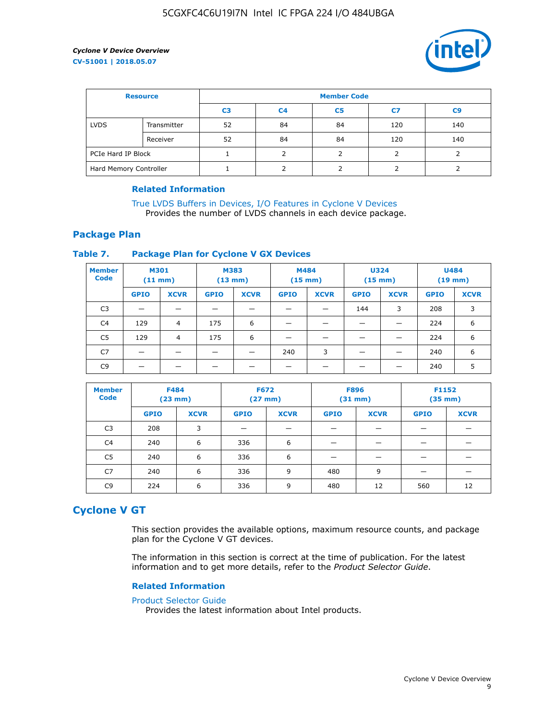

| <b>Resource</b>        |             | <b>Member Code</b> |                |                |     |                |  |  |
|------------------------|-------------|--------------------|----------------|----------------|-----|----------------|--|--|
|                        |             | C <sub>3</sub>     | C <sub>4</sub> | C <sub>5</sub> | C7  | C <sub>9</sub> |  |  |
| <b>LVDS</b>            | Transmitter | 52                 | 84             | 84             | 120 | 140            |  |  |
|                        | Receiver    | 52                 | 84             | 84             | 120 | 140            |  |  |
| PCIe Hard IP Block     |             |                    |                |                |     |                |  |  |
| Hard Memory Controller |             |                    |                |                |     |                |  |  |

#### **Related Information**

[True LVDS Buffers in Devices, I/O Features in Cyclone V Devices](https://www.altera.com/documentation/sam1403481100977.html#sam1403480885395) Provides the number of LVDS channels in each device package.

## **Package Plan**

#### **Table 7. Package Plan for Cyclone V GX Devices**

| <b>Member</b><br><b>Code</b> | <b>M301</b><br>$(11$ mm) |                | <b>M383</b><br>$(13 \text{ mm})$ |             | M484<br>$(15 \text{ mm})$ |             |             |             |             |             | <b>U324</b><br>$(15 \text{ mm})$ |  | <b>U484</b><br>$(19$ mm) |  |
|------------------------------|--------------------------|----------------|----------------------------------|-------------|---------------------------|-------------|-------------|-------------|-------------|-------------|----------------------------------|--|--------------------------|--|
|                              | <b>GPIO</b>              | <b>XCVR</b>    | <b>GPIO</b>                      | <b>XCVR</b> | <b>GPIO</b>               | <b>XCVR</b> | <b>GPIO</b> | <b>XCVR</b> | <b>GPIO</b> | <b>XCVR</b> |                                  |  |                          |  |
| C <sub>3</sub>               |                          |                |                                  |             |                           |             | 144         | 3           | 208         | 3           |                                  |  |                          |  |
| C <sub>4</sub>               | 129                      | $\overline{4}$ | 175                              | 6           |                           |             | –           |             | 224         | 6           |                                  |  |                          |  |
| C5                           | 129                      | 4              | 175                              | 6           |                           |             |             |             | 224         | 6           |                                  |  |                          |  |
| C7                           | _                        |                |                                  |             | 240                       | 3           |             |             | 240         | 6           |                                  |  |                          |  |
| C <sub>9</sub>               |                          |                |                                  |             |                           |             |             |             | 240         | 5           |                                  |  |                          |  |

| <b>Member</b><br><b>Code</b> | <b>F484</b> | $(23$ mm)   | <b>F672</b> | $(27$ mm $)$ | <b>F896</b><br>$(31 \text{ mm})$ |             | F1152<br>$(35 \text{ mm})$ |             |
|------------------------------|-------------|-------------|-------------|--------------|----------------------------------|-------------|----------------------------|-------------|
|                              | <b>GPIO</b> | <b>XCVR</b> | <b>GPIO</b> | <b>XCVR</b>  | <b>GPIO</b>                      | <b>XCVR</b> | <b>GPIO</b>                | <b>XCVR</b> |
| C <sub>3</sub>               | 208         | 3           |             |              |                                  |             |                            |             |
| C4                           | 240         | 6           | 336         | 6            |                                  |             |                            |             |
| C <sub>5</sub>               | 240         | 6           | 336         | 6            |                                  |             |                            |             |
| C <sub>7</sub>               | 240         | 6           | 336         | 9            | 480                              | 9           |                            |             |
| C <sub>9</sub>               | 224         | 6           | 336         | 9            | 480                              | 12          | 560                        | 12          |

# **Cyclone V GT**

This section provides the available options, maximum resource counts, and package plan for the Cyclone V GT devices.

The information in this section is correct at the time of publication. For the latest information and to get more details, refer to the *Product Selector Guide*.

#### **Related Information**

#### [Product Selector Guide](https://www.altera.com/products/product-selector-guide.html)

Provides the latest information about Intel products.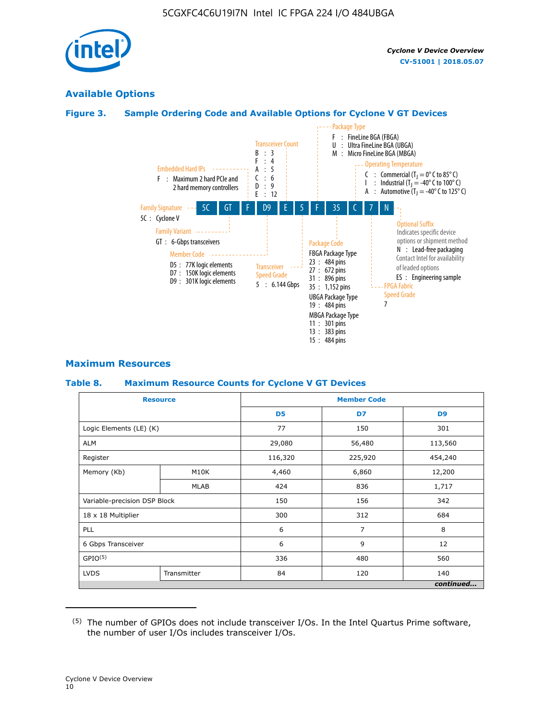

## **Available Options**

#### **Figure 3. Sample Ordering Code and Available Options for Cyclone V GT Devices**



#### **Maximum Resources**

#### **Table 8. Maximum Resource Counts for Cyclone V GT Devices**

|                              | <b>Resource</b> | <b>Member Code</b> |                |                |  |  |
|------------------------------|-----------------|--------------------|----------------|----------------|--|--|
|                              |                 | D <sub>5</sub>     | D7             | D <sub>9</sub> |  |  |
| Logic Elements (LE) (K)      |                 | 77                 | 150            | 301            |  |  |
| <b>ALM</b>                   |                 | 29,080             | 56,480         | 113,560        |  |  |
| Register                     |                 | 116,320            | 225,920        | 454,240        |  |  |
| Memory (Kb)                  | M10K            | 4,460              | 6,860          | 12,200         |  |  |
|                              | MLAB            | 424                | 836            | 1,717          |  |  |
| Variable-precision DSP Block |                 | 150                | 156            | 342            |  |  |
| 18 x 18 Multiplier           |                 | 300                | 312            | 684            |  |  |
| PLL                          |                 | 6                  | $\overline{7}$ | 8              |  |  |
| 6 Gbps Transceiver           |                 | 6                  | 9              | 12             |  |  |
| GPIO <sup>(5)</sup>          |                 | 336                | 480            | 560            |  |  |
| <b>LVDS</b>                  | Transmitter     | 84                 | 120            | 140            |  |  |
|                              |                 |                    |                | continued      |  |  |

<sup>(5)</sup> The number of GPIOs does not include transceiver I/Os. In the Intel Quartus Prime software, the number of user I/Os includes transceiver I/Os.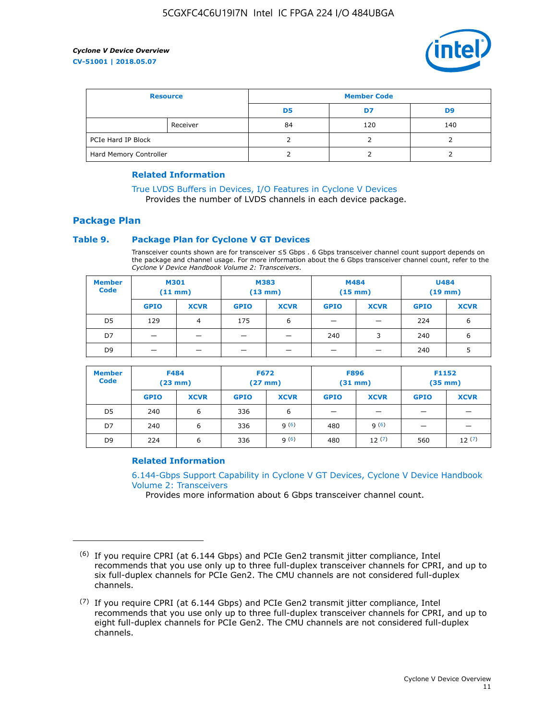

| <b>Resource</b>        |          | <b>Member Code</b> |     |     |  |  |
|------------------------|----------|--------------------|-----|-----|--|--|
|                        |          | D <sub>5</sub>     | D7  | D9  |  |  |
|                        | Receiver | 84                 | 120 | 140 |  |  |
| PCIe Hard IP Block     |          |                    |     |     |  |  |
| Hard Memory Controller |          |                    |     |     |  |  |

#### **Related Information**

[True LVDS Buffers in Devices, I/O Features in Cyclone V Devices](https://www.altera.com/documentation/sam1403481100977.html#sam1403480885395) Provides the number of LVDS channels in each device package.

# **Package Plan**

#### **Table 9. Package Plan for Cyclone V GT Devices**

Transceiver counts shown are for transceiver ≤5 Gbps . 6 Gbps transceiver channel count support depends on the package and channel usage. For more information about the 6 Gbps transceiver channel count, refer to the *Cyclone V Device Handbook Volume 2: Transceivers*.

| <b>Member</b><br><b>Code</b> | <b>M301</b><br>(11 mm) |                | M383<br>$(13 \text{ mm})$ |             | M484<br>$(15 \text{ mm})$ |             | <b>U484</b><br>$(19$ mm) |             |
|------------------------------|------------------------|----------------|---------------------------|-------------|---------------------------|-------------|--------------------------|-------------|
|                              | <b>GPIO</b>            | <b>XCVR</b>    | <b>GPIO</b>               | <b>XCVR</b> | <b>GPIO</b>               | <b>XCVR</b> | <b>GPIO</b>              | <b>XCVR</b> |
| D5                           | 129                    | $\overline{4}$ | 175                       | 6           | -                         |             | 224                      | 6           |
| D7                           | -                      |                |                           |             | 240                       | 3           | 240                      | 6           |
| D <sub>9</sub>               | -                      | _              |                           |             | _                         |             | 240                      | 5           |

| <b>Member</b><br><b>Code</b> | <b>F484</b><br>$(23$ mm $)$ |             | <b>F672</b><br>$(27 \text{ mm})$ |             | <b>F896</b><br>$(31$ mm $)$ |             | F1152<br>$(35 \text{ mm})$ |             |
|------------------------------|-----------------------------|-------------|----------------------------------|-------------|-----------------------------|-------------|----------------------------|-------------|
|                              | <b>GPIO</b>                 | <b>XCVR</b> | <b>GPIO</b>                      | <b>XCVR</b> | <b>GPIO</b>                 | <b>XCVR</b> | <b>GPIO</b>                | <b>XCVR</b> |
| D <sub>5</sub>               | 240                         | 6           | 336                              | 6           | -                           |             | _                          |             |
| D7                           | 240                         | 6           | 336                              | q(6)        | 480                         | q(6)        | $\overline{\phantom{0}}$   | -           |
| D <sub>9</sub>               | 224                         | 6           | 336                              | 9(6)        | 480                         | 12(7)       | 560                        | 12(7)       |

#### **Related Information**

[6.144-Gbps Support Capability in Cyclone V GT Devices, Cyclone V Device Handbook](https://www.altera.com/documentation/nik1409855456781.html#nik1409855410757) [Volume 2: Transceivers](https://www.altera.com/documentation/nik1409855456781.html#nik1409855410757)

Provides more information about 6 Gbps transceiver channel count.

<sup>(6)</sup> If you require CPRI (at 6.144 Gbps) and PCIe Gen2 transmit jitter compliance, Intel recommends that you use only up to three full-duplex transceiver channels for CPRI, and up to six full-duplex channels for PCIe Gen2. The CMU channels are not considered full-duplex channels.

 $(7)$  If you require CPRI (at 6.144 Gbps) and PCIe Gen2 transmit jitter compliance, Intel recommends that you use only up to three full-duplex transceiver channels for CPRI, and up to eight full-duplex channels for PCIe Gen2. The CMU channels are not considered full-duplex channels.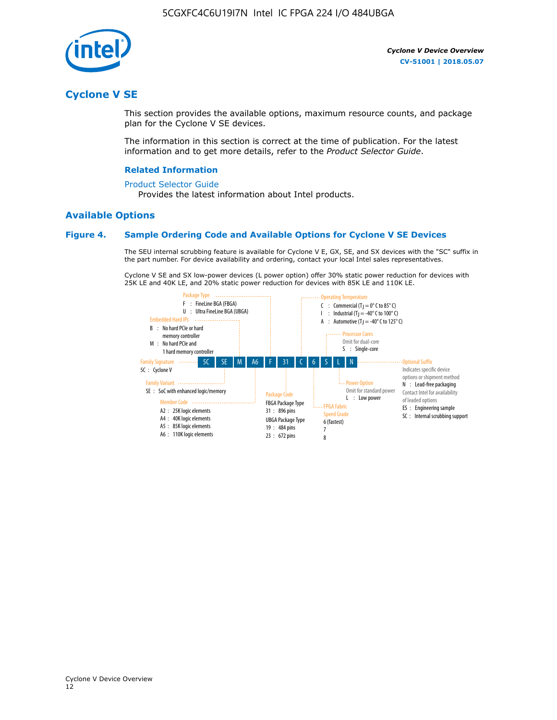

# **Cyclone V SE**

This section provides the available options, maximum resource counts, and package plan for the Cyclone V SE devices.

The information in this section is correct at the time of publication. For the latest information and to get more details, refer to the *Product Selector Guide*.

#### **Related Information**

#### [Product Selector Guide](https://www.altera.com/products/product-selector-guide.html)

Provides the latest information about Intel products.

#### **Available Options**

#### **Figure 4. Sample Ordering Code and Available Options for Cyclone V SE Devices**

The SEU internal scrubbing feature is available for Cyclone V E, GX, SE, and SX devices with the "SC" suffix in the part number. For device availability and ordering, contact your local Intel sales representatives.

Cyclone V SE and SX low-power devices (L power option) offer 30% static power reduction for devices with 25K LE and 40K LE, and 20% static power reduction for devices with 85K LE and 110K LE.

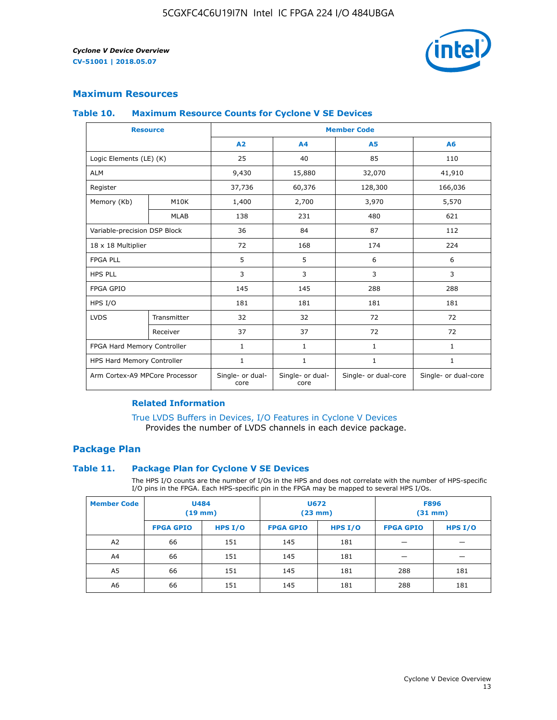

## **Maximum Resources**

#### **Table 10. Maximum Resource Counts for Cyclone V SE Devices**

|                                | <b>Resource</b>              | <b>Member Code</b>       |                          |                      |                      |  |
|--------------------------------|------------------------------|--------------------------|--------------------------|----------------------|----------------------|--|
|                                |                              | A <sub>2</sub>           | A <sub>4</sub>           | <b>A5</b>            | A6                   |  |
| Logic Elements (LE) (K)        |                              | 25                       | 40                       | 85                   | 110                  |  |
| <b>ALM</b>                     |                              | 9,430                    | 15,880                   | 32,070               | 41,910               |  |
| Register                       |                              | 37,736                   | 60,376                   | 128,300              | 166,036              |  |
| Memory (Kb)                    | M10K                         | 1,400                    | 2,700                    | 3,970                | 5,570                |  |
|                                | <b>MLAB</b>                  | 138                      | 231                      | 480                  | 621                  |  |
|                                | Variable-precision DSP Block |                          | 84                       | 87                   | 112                  |  |
| 18 x 18 Multiplier             |                              | 72                       | 168                      | 174                  | 224                  |  |
| <b>FPGA PLL</b>                |                              | 5                        | 5                        | 6                    | 6                    |  |
| <b>HPS PLL</b>                 |                              | 3                        | 3                        | 3                    | 3                    |  |
| <b>FPGA GPIO</b>               |                              | 145                      | 145                      | 288                  | 288                  |  |
| HPS I/O                        |                              | 181                      | 181                      | 181                  | 181                  |  |
| <b>LVDS</b>                    | Transmitter                  | 32                       | 32                       | 72                   | 72                   |  |
|                                | Receiver                     | 37                       | 37                       | 72                   | 72                   |  |
| FPGA Hard Memory Controller    |                              | 1                        | $\mathbf{1}$             | $\mathbf{1}$         | $\mathbf{1}$         |  |
| HPS Hard Memory Controller     |                              | $\mathbf{1}$             | $\mathbf{1}$             | $\mathbf{1}$         | $\mathbf{1}$         |  |
| Arm Cortex-A9 MPCore Processor |                              | Single- or dual-<br>core | Single- or dual-<br>core | Single- or dual-core | Single- or dual-core |  |

#### **Related Information**

[True LVDS Buffers in Devices, I/O Features in Cyclone V Devices](https://www.altera.com/documentation/sam1403481100977.html#sam1403480885395) Provides the number of LVDS channels in each device package.

#### **Package Plan**

#### **Table 11. Package Plan for Cyclone V SE Devices**

The HPS I/O counts are the number of I/Os in the HPS and does not correlate with the number of HPS-specific I/O pins in the FPGA. Each HPS-specific pin in the FPGA may be mapped to several HPS I/Os.

| <b>Member Code</b> | <b>U484</b><br>$(19$ mm) |           | <b>U672</b><br>(23 mm) |           | <b>F896</b><br>$(31$ mm $)$ |           |
|--------------------|--------------------------|-----------|------------------------|-----------|-----------------------------|-----------|
|                    | <b>FPGA GPIO</b>         | HPS $I/O$ | <b>FPGA GPIO</b>       | HPS $I/O$ | <b>FPGA GPIO</b>            | HPS $I/O$ |
| A <sub>2</sub>     | 66                       | 151       | 145                    | 181       |                             |           |
| A4                 | 66                       | 151       | 145                    | 181       |                             |           |
| A <sub>5</sub>     | 66                       | 151       | 145                    | 181       | 288                         | 181       |
| A6                 | 66                       | 151       | 145                    | 181       | 288                         | 181       |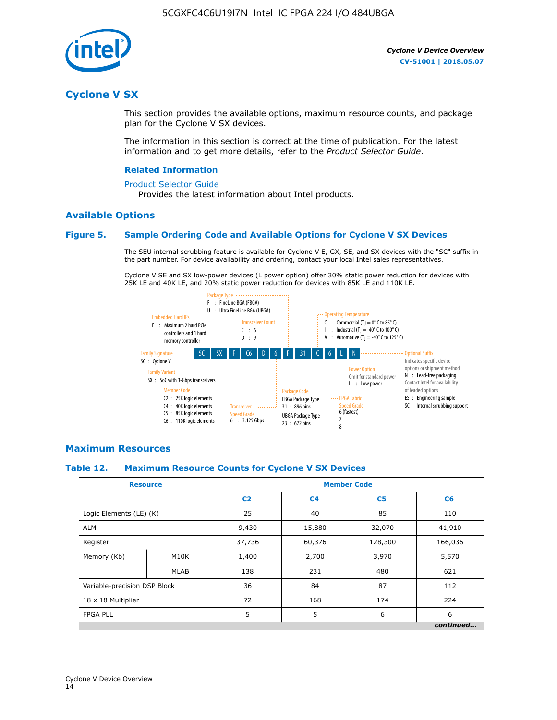

# **Cyclone V SX**

This section provides the available options, maximum resource counts, and package plan for the Cyclone V SX devices.

The information in this section is correct at the time of publication. For the latest information and to get more details, refer to the *Product Selector Guide*.

#### **Related Information**

#### [Product Selector Guide](https://www.altera.com/products/product-selector-guide.html)

Provides the latest information about Intel products.

## **Available Options**

#### **Figure 5. Sample Ordering Code and Available Options for Cyclone V SX Devices**

The SEU internal scrubbing feature is available for Cyclone V E, GX, SE, and SX devices with the "SC" suffix in the part number. For device availability and ordering, contact your local Intel sales representatives.

Cyclone V SE and SX low-power devices (L power option) offer 30% static power reduction for devices with 25K LE and 40K LE, and 20% static power reduction for devices with 85K LE and 110K LE.



#### **Maximum Resources**

#### **Table 12. Maximum Resource Counts for Cyclone V SX Devices**

|                              | <b>Resource</b> | <b>Member Code</b> |                |                |           |  |
|------------------------------|-----------------|--------------------|----------------|----------------|-----------|--|
|                              |                 | C <sub>2</sub>     | C <sub>4</sub> | C <sub>5</sub> | C6        |  |
| Logic Elements (LE) (K)      |                 | 25                 | 40             | 85             | 110       |  |
| <b>ALM</b>                   |                 | 9,430              | 15,880         | 32,070         | 41,910    |  |
| Register                     |                 | 37,736             | 60,376         | 128,300        | 166,036   |  |
| Memory (Kb)                  | M10K            | 1,400              | 2,700          | 3,970          | 5,570     |  |
|                              | <b>MLAB</b>     | 138                | 231            | 480            | 621       |  |
| Variable-precision DSP Block |                 | 36                 | 84             | 87             | 112       |  |
| 18 x 18 Multiplier           |                 | 72                 | 168            | 174            | 224       |  |
| <b>FPGA PLL</b>              |                 | 5                  | 5              | 6              | 6         |  |
|                              |                 |                    |                |                | continued |  |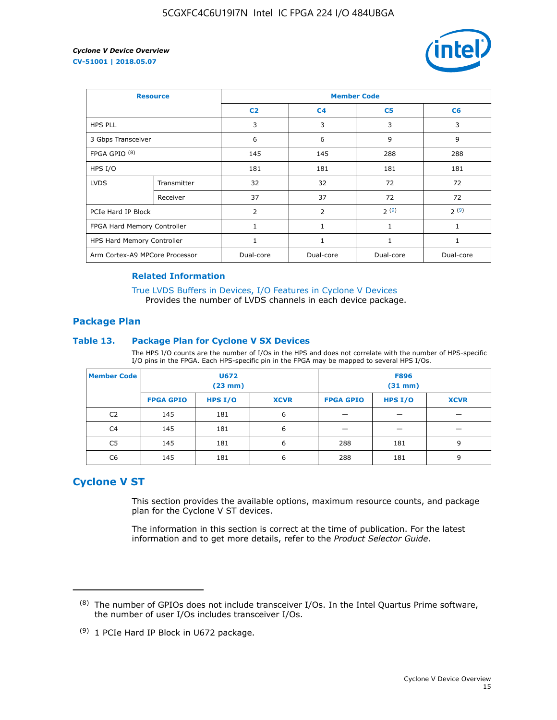

| <b>Resource</b>                |             | <b>Member Code</b> |                |                |              |  |  |
|--------------------------------|-------------|--------------------|----------------|----------------|--------------|--|--|
|                                |             | C <sub>2</sub>     | C <sub>4</sub> | C <sub>5</sub> | C6           |  |  |
| <b>HPS PLL</b>                 |             | 3                  | 3              | 3              | 3            |  |  |
| 3 Gbps Transceiver             |             | 6                  | 6              | 9              | 9            |  |  |
| FPGA GPIO <sup>(8)</sup>       |             | 145                | 145            | 288            | 288          |  |  |
| HPS I/O                        |             | 181                | 181            | 181            | 181          |  |  |
| <b>LVDS</b>                    | Transmitter | 32                 | 32             | 72             | 72           |  |  |
|                                | Receiver    | 37                 | 37             | 72             | 72           |  |  |
| PCIe Hard IP Block             |             | 2                  | $\overline{2}$ | 2(9)           | 2(9)         |  |  |
| FPGA Hard Memory Controller    |             | 1                  | $\mathbf{1}$   | 1              | 1            |  |  |
| HPS Hard Memory Controller     |             | 1                  | $\mathbf{1}$   | 1              | $\mathbf{1}$ |  |  |
| Arm Cortex-A9 MPCore Processor |             | Dual-core          | Dual-core      | Dual-core      | Dual-core    |  |  |

#### **Related Information**

[True LVDS Buffers in Devices, I/O Features in Cyclone V Devices](https://www.altera.com/documentation/sam1403481100977.html#sam1403480885395) Provides the number of LVDS channels in each device package.

#### **Package Plan**

#### **Table 13. Package Plan for Cyclone V SX Devices**

The HPS I/O counts are the number of I/Os in the HPS and does not correlate with the number of HPS-specific I/O pins in the FPGA. Each HPS-specific pin in the FPGA may be mapped to several HPS I/Os.

| <b>Member Code</b> | U672<br>(23 mm)  |           | <b>F896</b><br>$(31$ mm $)$ |                  |           |             |
|--------------------|------------------|-----------|-----------------------------|------------------|-----------|-------------|
|                    | <b>FPGA GPIO</b> | HPS $I/O$ | <b>XCVR</b>                 | <b>FPGA GPIO</b> | HPS $I/O$ | <b>XCVR</b> |
| C <sub>2</sub>     | 145              | 181       | 6                           |                  |           |             |
| C <sub>4</sub>     | 145              | 181       | 6                           |                  |           |             |
| C5                 | 145              | 181       | 6                           | 288              | 181       | 9           |
| C6                 | 145              | 181       | 6                           | 288              | 181       | 9           |

# **Cyclone V ST**

This section provides the available options, maximum resource counts, and package plan for the Cyclone V ST devices.

The information in this section is correct at the time of publication. For the latest information and to get more details, refer to the *Product Selector Guide*.

 $(8)$  The number of GPIOs does not include transceiver I/Os. In the Intel Quartus Prime software, the number of user I/Os includes transceiver I/Os.

<sup>(9)</sup> 1 PCIe Hard IP Block in U672 package.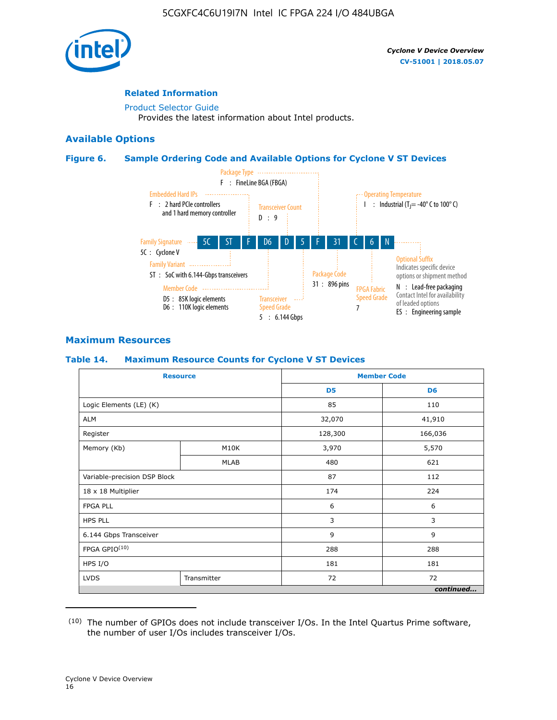

#### **Related Information**

[Product Selector Guide](https://www.altera.com/products/product-selector-guide.html) Provides the latest information about Intel products.

#### **Available Options**

#### **Figure 6. Sample Ordering Code and Available Options for Cyclone V ST Devices**



## **Maximum Resources**

#### **Table 14. Maximum Resource Counts for Cyclone V ST Devices**

| <b>Resource</b>              |             |                | <b>Member Code</b> |
|------------------------------|-------------|----------------|--------------------|
|                              |             | D <sub>5</sub> | D <sub>6</sub>     |
| Logic Elements (LE) (K)      |             | 85             | 110                |
| <b>ALM</b>                   |             | 32,070         | 41,910             |
| Register                     |             | 128,300        | 166,036            |
| Memory (Kb)                  | M10K        | 3,970          | 5,570              |
|                              | <b>MLAB</b> | 480            | 621                |
| Variable-precision DSP Block |             | 87             | 112                |
| 18 x 18 Multiplier           |             | 174            | 224                |
| <b>FPGA PLL</b>              |             | 6              | 6                  |
| <b>HPS PLL</b>               |             | 3              | 3                  |
| 6.144 Gbps Transceiver       |             | 9              | 9                  |
| FPGA GPIO(10)                |             | 288            | 288                |
| HPS I/O                      |             | 181            | 181                |
| <b>LVDS</b>                  | Transmitter | 72             | 72                 |
|                              |             |                | continued          |

<sup>(10)</sup> The number of GPIOs does not include transceiver I/Os. In the Intel Quartus Prime software, the number of user I/Os includes transceiver I/Os.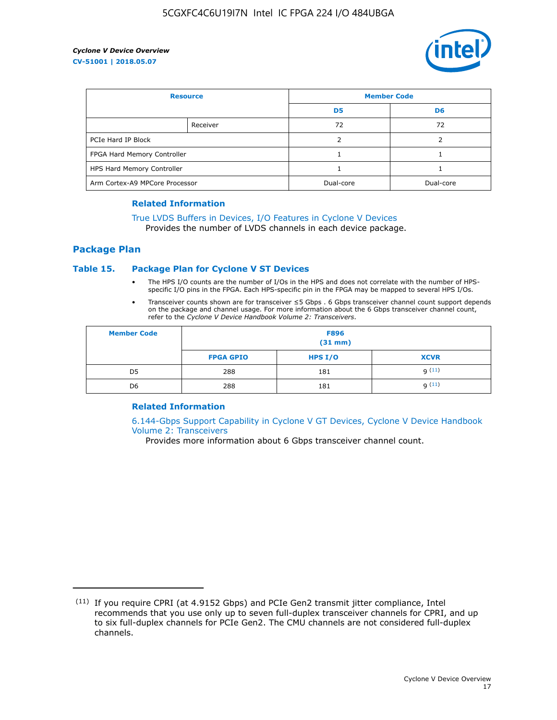

| <b>Resource</b>                |          | <b>Member Code</b> |           |  |
|--------------------------------|----------|--------------------|-----------|--|
|                                |          | D <sub>5</sub>     | D6        |  |
|                                | Receiver | 72                 | 72        |  |
| PCIe Hard IP Block             |          | ว                  |           |  |
| FPGA Hard Memory Controller    |          |                    |           |  |
| HPS Hard Memory Controller     |          |                    |           |  |
| Arm Cortex-A9 MPCore Processor |          | Dual-core          | Dual-core |  |

#### **Related Information**

# [True LVDS Buffers in Devices, I/O Features in Cyclone V Devices](https://www.altera.com/documentation/sam1403481100977.html#sam1403480885395)

Provides the number of LVDS channels in each device package.

#### **Package Plan**

#### **Table 15. Package Plan for Cyclone V ST Devices**

- The HPS I/O counts are the number of I/Os in the HPS and does not correlate with the number of HPSspecific I/O pins in the FPGA. Each HPS-specific pin in the FPGA may be mapped to several HPS I/Os.
- Transceiver counts shown are for transceiver ≤5 Gbps . 6 Gbps transceiver channel count support depends on the package and channel usage. For more information about the 6 Gbps transceiver channel count, refer to the *Cyclone V Device Handbook Volume 2: Transceivers*.

| <b>Member Code</b> | <b>F896</b><br>$(31$ mm $)$ |           |             |  |  |
|--------------------|-----------------------------|-----------|-------------|--|--|
|                    | <b>FPGA GPIO</b>            | HPS $I/O$ | <b>XCVR</b> |  |  |
| D <sub>5</sub>     | 288                         | 181       | 9(11)       |  |  |
| D <sub>6</sub>     | 288                         | 181       | q(11)       |  |  |

#### **Related Information**

[6.144-Gbps Support Capability in Cyclone V GT Devices, Cyclone V Device Handbook](https://www.altera.com/documentation/nik1409855456781.html#nik1409855410757) [Volume 2: Transceivers](https://www.altera.com/documentation/nik1409855456781.html#nik1409855410757)

Provides more information about 6 Gbps transceiver channel count.

<sup>(11)</sup> If you require CPRI (at 4.9152 Gbps) and PCIe Gen2 transmit jitter compliance, Intel recommends that you use only up to seven full-duplex transceiver channels for CPRI, and up to six full-duplex channels for PCIe Gen2. The CMU channels are not considered full-duplex channels.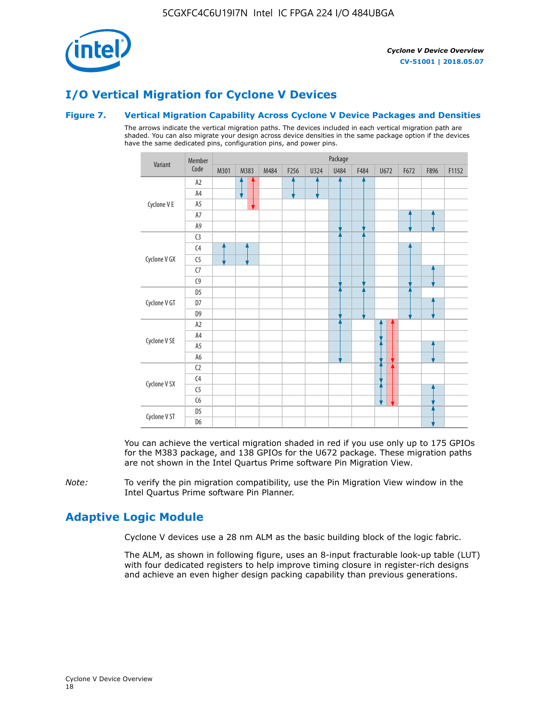

# **I/O Vertical Migration for Cyclone V Devices**

#### **Figure 7. Vertical Migration Capability Across Cyclone V Device Packages and Densities**

The arrows indicate the vertical migration paths. The devices included in each vertical migration path are shaded. You can also migrate your design across device densities in the same package option if the devices have the same dedicated pins, configuration pins, and power pins.



You can achieve the vertical migration shaded in red if you use only up to 175 GPIOs for the M383 package, and 138 GPIOs for the U672 package. These migration paths are not shown in the Intel Quartus Prime software Pin Migration View.

*Note:* To verify the pin migration compatibility, use the Pin Migration View window in the Intel Quartus Prime software Pin Planner.

# **Adaptive Logic Module**

Cyclone V devices use a 28 nm ALM as the basic building block of the logic fabric.

The ALM, as shown in following figure, uses an 8-input fracturable look-up table (LUT) with four dedicated registers to help improve timing closure in register-rich designs and achieve an even higher design packing capability than previous generations.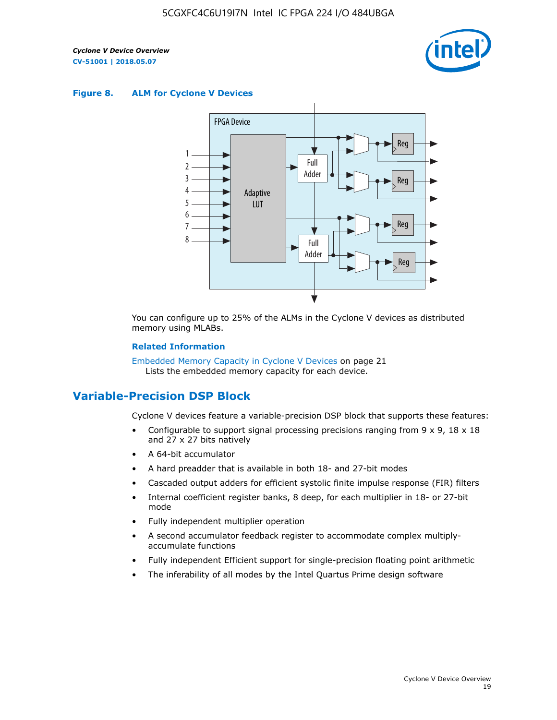

#### **Figure 8. ALM for Cyclone V Devices**



You can configure up to 25% of the ALMs in the Cyclone V devices as distributed memory using MLABs.

#### **Related Information**

Embedded Memory Capacity in Cyclone V Devices on page 21 Lists the embedded memory capacity for each device.

# **Variable-Precision DSP Block**

Cyclone V devices feature a variable-precision DSP block that supports these features:

- Configurable to support signal processing precisions ranging from  $9 \times 9$ ,  $18 \times 18$ and 27 x 27 bits natively
- A 64-bit accumulator
- A hard preadder that is available in both 18- and 27-bit modes
- Cascaded output adders for efficient systolic finite impulse response (FIR) filters
- Internal coefficient register banks, 8 deep, for each multiplier in 18- or 27-bit mode
- Fully independent multiplier operation
- A second accumulator feedback register to accommodate complex multiplyaccumulate functions
- Fully independent Efficient support for single-precision floating point arithmetic
- The inferability of all modes by the Intel Quartus Prime design software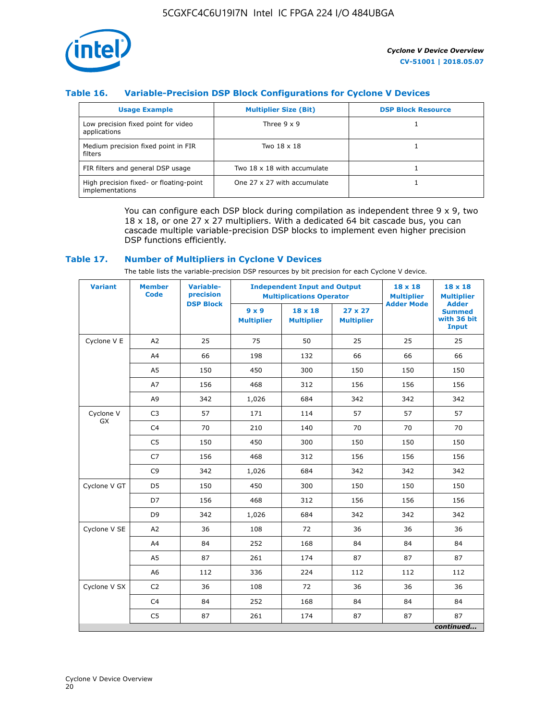

## **Table 16. Variable-Precision DSP Block Configurations for Cyclone V Devices**

| <b>Usage Example</b>                                       | <b>Multiplier Size (Bit)</b> | <b>DSP Block Resource</b> |
|------------------------------------------------------------|------------------------------|---------------------------|
| Low precision fixed point for video<br>applications        | Three $9 \times 9$           |                           |
| Medium precision fixed point in FIR<br>filters             | Two 18 x 18                  |                           |
| FIR filters and general DSP usage                          | Two 18 x 18 with accumulate  |                           |
| High precision fixed- or floating-point<br>implementations | One 27 x 27 with accumulate  |                           |

You can configure each DSP block during compilation as independent three  $9 \times 9$ , two 18 x 18, or one 27 x 27 multipliers. With a dedicated 64 bit cascade bus, you can cascade multiple variable-precision DSP blocks to implement even higher precision DSP functions efficiently.

#### **Table 17. Number of Multipliers in Cyclone V Devices**

The table lists the variable-precision DSP resources by bit precision for each Cyclone V device.

| <b>Variant</b>  | <b>Member</b><br>Code | <b>Variable-</b><br>precision |                                   | <b>Independent Input and Output</b><br><b>Multiplications Operator</b> |                                     |                   | $18 \times 18$<br><b>Multiplier</b>                          |
|-----------------|-----------------------|-------------------------------|-----------------------------------|------------------------------------------------------------------------|-------------------------------------|-------------------|--------------------------------------------------------------|
|                 |                       | <b>DSP Block</b>              | $9 \times 9$<br><b>Multiplier</b> | $18 \times 18$<br><b>Multiplier</b>                                    | $27 \times 27$<br><b>Multiplier</b> | <b>Adder Mode</b> | <b>Adder</b><br><b>Summed</b><br>with 36 bit<br><b>Input</b> |
| Cyclone V E     | A2                    | 25                            | 75                                | 50                                                                     | 25                                  | 25                | 25                                                           |
|                 | A4                    | 66                            | 198                               | 132                                                                    | 66                                  | 66                | 66                                                           |
|                 | A <sub>5</sub>        | 150                           | 450                               | 300                                                                    | 150                                 | 150               | 150                                                          |
|                 | A7                    | 156                           | 468                               | 312                                                                    | 156                                 | 156               | 156                                                          |
|                 | A <sub>9</sub>        | 342                           | 1,026                             | 684                                                                    | 342                                 | 342               | 342                                                          |
| Cyclone V<br>GX | C <sub>3</sub>        | 57                            | 171                               | 114                                                                    | 57                                  | 57                | 57                                                           |
|                 | C <sub>4</sub>        | 70                            | 210                               | 140                                                                    | 70                                  | 70                | 70                                                           |
|                 | C <sub>5</sub>        | 150                           | 450                               | 300                                                                    | 150                                 | 150               | 150                                                          |
|                 | C7                    | 156                           | 468                               | 312                                                                    | 156                                 | 156               | 156                                                          |
|                 | C <sub>9</sub>        | 342                           | 1,026                             | 684                                                                    | 342                                 | 342               | 342                                                          |
| Cyclone V GT    | D <sub>5</sub>        | 150                           | 450                               | 300                                                                    | 150                                 | 150               | 150                                                          |
|                 | D7                    | 156                           | 468                               | 312                                                                    | 156                                 | 156               | 156                                                          |
|                 | D <sub>9</sub>        | 342                           | 1,026                             | 684                                                                    | 342                                 | 342               | 342                                                          |
| Cyclone V SE    | A <sub>2</sub>        | 36                            | 108                               | 72                                                                     | 36                                  | 36                | 36                                                           |
|                 | A4                    | 84                            | 252                               | 168                                                                    | 84                                  | 84                | 84                                                           |
|                 | A <sub>5</sub>        | 87                            | 261                               | 174                                                                    | 87                                  | 87                | 87                                                           |
|                 | A <sub>6</sub>        | 112                           | 336                               | 224                                                                    | 112                                 | 112               | 112                                                          |
| Cyclone V SX    | C <sub>2</sub>        | 36                            | 108                               | 72                                                                     | 36                                  | 36                | 36                                                           |
|                 | C <sub>4</sub>        | 84                            | 252                               | 168                                                                    | 84                                  | 84                | 84                                                           |
|                 | C <sub>5</sub>        | 87                            | 261                               | 174                                                                    | 87                                  | 87                | 87                                                           |
|                 |                       |                               |                                   |                                                                        |                                     |                   | continued                                                    |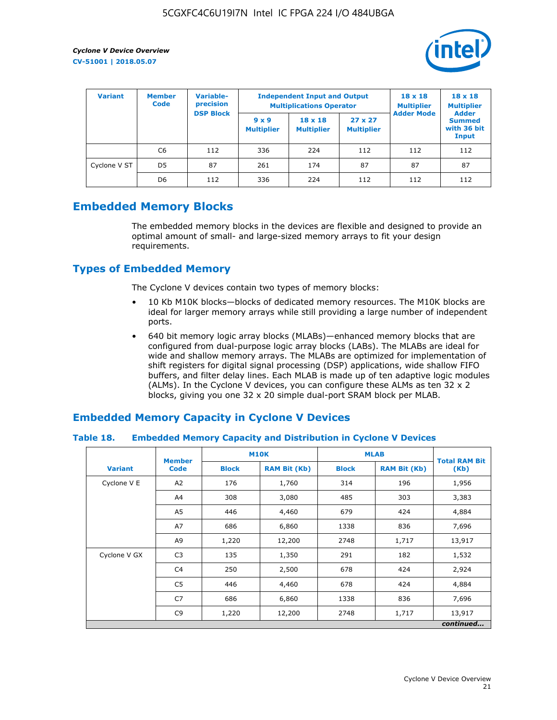

| <b>Variant</b> | <b>Variable-</b><br><b>Member</b><br>precision<br><b>Code</b><br><b>DSP Block</b> |     | <b>Independent Input and Output</b><br><b>Multiplications Operator</b> | $18 \times 18$<br><b>Multiplier</b> | $18 \times 18$<br><b>Multiplier</b><br><b>Adder</b> |                   |                                       |
|----------------|-----------------------------------------------------------------------------------|-----|------------------------------------------------------------------------|-------------------------------------|-----------------------------------------------------|-------------------|---------------------------------------|
|                |                                                                                   |     | $9 \times 9$<br><b>Multiplier</b>                                      | $18 \times 18$<br><b>Multiplier</b> | $27 \times 27$<br><b>Multiplier</b>                 | <b>Adder Mode</b> | <b>Summed</b><br>with 36 bit<br>Input |
|                | C6                                                                                | 112 | 336                                                                    | 224                                 | 112                                                 | 112               | 112                                   |
| Cyclone V ST   | D <sub>5</sub>                                                                    | 87  | 261                                                                    | 174                                 | 87                                                  | 87                | 87                                    |
|                | D <sub>6</sub>                                                                    | 112 | 336                                                                    | 224                                 | 112                                                 | 112               | 112                                   |

# **Embedded Memory Blocks**

The embedded memory blocks in the devices are flexible and designed to provide an optimal amount of small- and large-sized memory arrays to fit your design requirements.

# **Types of Embedded Memory**

The Cyclone V devices contain two types of memory blocks:

- 10 Kb M10K blocks—blocks of dedicated memory resources. The M10K blocks are ideal for larger memory arrays while still providing a large number of independent ports.
- 640 bit memory logic array blocks (MLABs)—enhanced memory blocks that are configured from dual-purpose logic array blocks (LABs). The MLABs are ideal for wide and shallow memory arrays. The MLABs are optimized for implementation of shift registers for digital signal processing (DSP) applications, wide shallow FIFO buffers, and filter delay lines. Each MLAB is made up of ten adaptive logic modules (ALMs). In the Cyclone V devices, you can configure these ALMs as ten 32 x 2 blocks, giving you one 32 x 20 simple dual-port SRAM block per MLAB.

# **Embedded Memory Capacity in Cyclone V Devices**

#### **Table 18. Embedded Memory Capacity and Distribution in Cyclone V Devices**

|                | <b>Member</b>  | <b>M10K</b>  |                     | <b>MLAB</b>  | <b>Total RAM Bit</b> |        |  |  |  |
|----------------|----------------|--------------|---------------------|--------------|----------------------|--------|--|--|--|
| <b>Variant</b> | <b>Code</b>    | <b>Block</b> | <b>RAM Bit (Kb)</b> | <b>Block</b> | <b>RAM Bit (Kb)</b>  | (Kb)   |  |  |  |
| Cyclone V E    | A2             | 176          | 1,760               | 314          | 196                  | 1,956  |  |  |  |
|                | A4             | 308          | 3,080               | 485          | 303                  | 3,383  |  |  |  |
|                | A5             | 446          | 4,460               | 679          | 424                  | 4,884  |  |  |  |
|                | A7             | 686          | 6,860               | 1338         | 836                  | 7,696  |  |  |  |
|                | A9             | 1,220        | 12,200              | 2748         | 1,717                | 13,917 |  |  |  |
| Cyclone V GX   | C <sub>3</sub> | 135          | 1,350               | 291          | 182                  | 1,532  |  |  |  |
|                | C4             | 250          | 2,500               | 678          | 424                  | 2,924  |  |  |  |
|                | C5             | 446          | 4,460               | 678          | 424                  | 4,884  |  |  |  |
|                | C7             | 686          | 6,860               | 1338         | 836                  | 7,696  |  |  |  |
|                | C <sub>9</sub> | 1,220        | 12,200              | 2748         | 1,717                | 13,917 |  |  |  |
|                | continued      |              |                     |              |                      |        |  |  |  |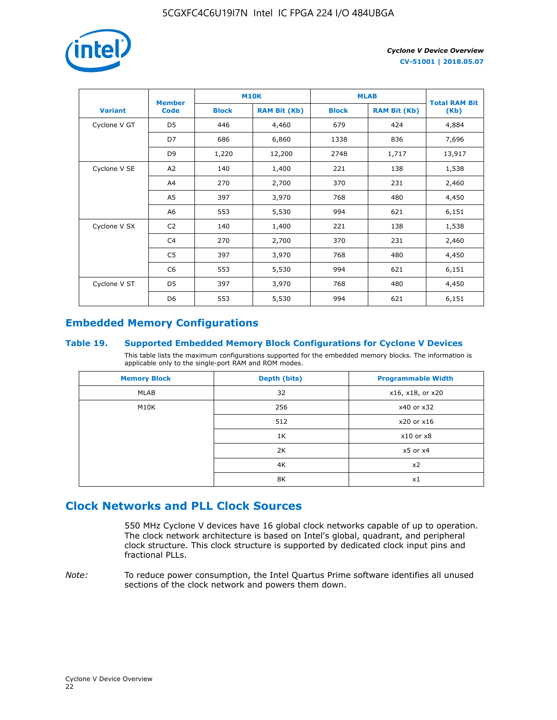

|                | <b>Member</b>  | <b>M10K</b>  |                     | <b>MLAB</b>  | <b>Total RAM Bit</b> |        |
|----------------|----------------|--------------|---------------------|--------------|----------------------|--------|
| <b>Variant</b> | <b>Code</b>    | <b>Block</b> | <b>RAM Bit (Kb)</b> | <b>Block</b> | <b>RAM Bit (Kb)</b>  | (Kb)   |
| Cyclone V GT   | D <sub>5</sub> | 446          | 4,460               | 679          | 424                  | 4,884  |
|                | D7             | 686          | 6,860               | 1338         | 836                  | 7,696  |
|                | D <sub>9</sub> | 1,220        | 12,200              | 2748         | 1,717                | 13,917 |
| Cyclone V SE   | A <sub>2</sub> | 140          | 1,400               | 221          | 138                  | 1,538  |
|                | A4             | 270          | 2,700               | 370          | 231                  | 2,460  |
|                | A5             | 397          | 3,970               | 768          | 480                  | 4,450  |
|                | A6             | 553          | 5,530               | 994          | 621                  | 6,151  |
| Cyclone V SX   | C <sub>2</sub> | 140          | 1,400               | 221          | 138                  | 1,538  |
|                | C4             | 270          | 2,700               | 370          | 231                  | 2,460  |
|                | C5             | 397          | 3,970               | 768          | 480                  | 4,450  |
|                | C <sub>6</sub> | 553          | 5,530               | 994          | 621                  | 6,151  |
| Cyclone V ST   | D <sub>5</sub> | 397          | 3,970               | 768          | 480                  | 4,450  |
|                | D <sub>6</sub> | 553          | 5,530               | 994          | 621                  | 6,151  |

# **Embedded Memory Configurations**

#### **Table 19. Supported Embedded Memory Block Configurations for Cyclone V Devices**

This table lists the maximum configurations supported for the embedded memory blocks. The information is applicable only to the single-port RAM and ROM modes.

| <b>Memory Block</b> | Depth (bits) | <b>Programmable Width</b> |
|---------------------|--------------|---------------------------|
| MLAB                | 32           | x16, x18, or x20          |
| M10K                | 256          | x40 or x32                |
|                     | 512          | x20 or x16                |
|                     | 1K           | $x10$ or $x8$             |
|                     | 2K           | $x5$ or $x4$              |
|                     | 4K           | x2                        |
|                     | 8K           | x1                        |

# **Clock Networks and PLL Clock Sources**

550 MHz Cyclone V devices have 16 global clock networks capable of up to operation. The clock network architecture is based on Intel's global, quadrant, and peripheral clock structure. This clock structure is supported by dedicated clock input pins and fractional PLLs.

*Note:* To reduce power consumption, the Intel Quartus Prime software identifies all unused sections of the clock network and powers them down.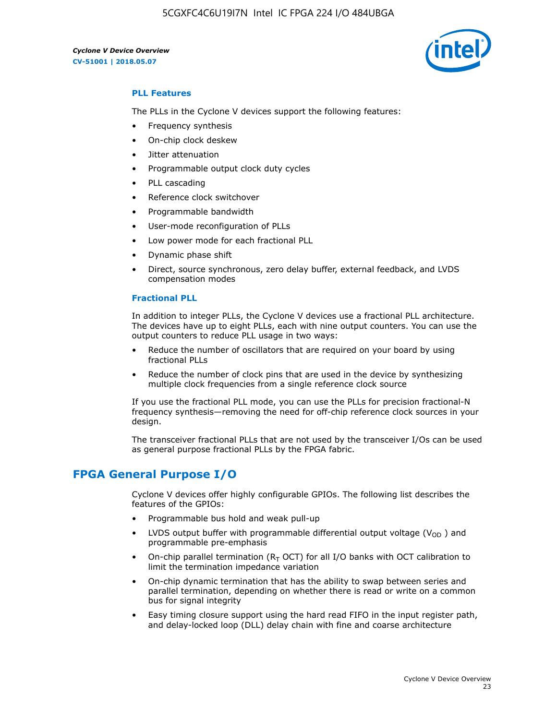

#### **PLL Features**

The PLLs in the Cyclone V devices support the following features:

- Frequency synthesis
- On-chip clock deskew
- Jitter attenuation
- Programmable output clock duty cycles
- PLL cascading
- Reference clock switchover
- Programmable bandwidth
- User-mode reconfiguration of PLLs
- Low power mode for each fractional PLL
- Dynamic phase shift
- Direct, source synchronous, zero delay buffer, external feedback, and LVDS compensation modes

#### **Fractional PLL**

In addition to integer PLLs, the Cyclone V devices use a fractional PLL architecture. The devices have up to eight PLLs, each with nine output counters. You can use the output counters to reduce PLL usage in two ways:

- Reduce the number of oscillators that are required on your board by using fractional PLLs
- Reduce the number of clock pins that are used in the device by synthesizing multiple clock frequencies from a single reference clock source

If you use the fractional PLL mode, you can use the PLLs for precision fractional-N frequency synthesis—removing the need for off-chip reference clock sources in your design.

The transceiver fractional PLLs that are not used by the transceiver I/Os can be used as general purpose fractional PLLs by the FPGA fabric.

# **FPGA General Purpose I/O**

Cyclone V devices offer highly configurable GPIOs. The following list describes the features of the GPIOs:

- Programmable bus hold and weak pull-up
- LVDS output buffer with programmable differential output voltage ( $V_{OD}$ ) and programmable pre-emphasis
- On-chip parallel termination ( $R<sub>T</sub>$  OCT) for all I/O banks with OCT calibration to limit the termination impedance variation
- On-chip dynamic termination that has the ability to swap between series and parallel termination, depending on whether there is read or write on a common bus for signal integrity
- Easy timing closure support using the hard read FIFO in the input register path, and delay-locked loop (DLL) delay chain with fine and coarse architecture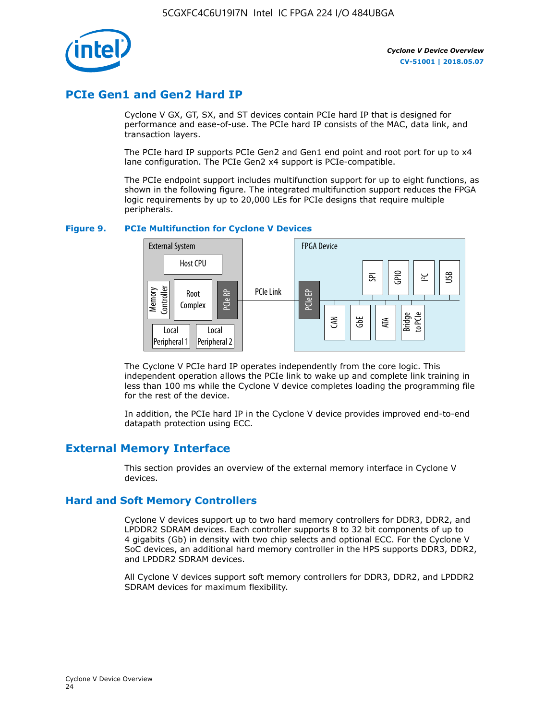

# **PCIe Gen1 and Gen2 Hard IP**

Cyclone V GX, GT, SX, and ST devices contain PCIe hard IP that is designed for performance and ease-of-use. The PCIe hard IP consists of the MAC, data link, and transaction layers.

The PCIe hard IP supports PCIe Gen2 and Gen1 end point and root port for up to x4 lane configuration. The PCIe Gen2 x4 support is PCIe-compatible.

The PCIe endpoint support includes multifunction support for up to eight functions, as shown in the following figure. The integrated multifunction support reduces the FPGA logic requirements by up to 20,000 LEs for PCIe designs that require multiple peripherals.

#### **Figure 9. PCIe Multifunction for Cyclone V Devices**



The Cyclone V PCIe hard IP operates independently from the core logic. This independent operation allows the PCIe link to wake up and complete link training in less than 100 ms while the Cyclone V device completes loading the programming file for the rest of the device.

In addition, the PCIe hard IP in the Cyclone V device provides improved end-to-end datapath protection using ECC.

# **External Memory Interface**

This section provides an overview of the external memory interface in Cyclone V devices.

## **Hard and Soft Memory Controllers**

Cyclone V devices support up to two hard memory controllers for DDR3, DDR2, and LPDDR2 SDRAM devices. Each controller supports 8 to 32 bit components of up to 4 gigabits (Gb) in density with two chip selects and optional ECC. For the Cyclone V SoC devices, an additional hard memory controller in the HPS supports DDR3, DDR2, and LPDDR2 SDRAM devices.

All Cyclone V devices support soft memory controllers for DDR3, DDR2, and LPDDR2 SDRAM devices for maximum flexibility.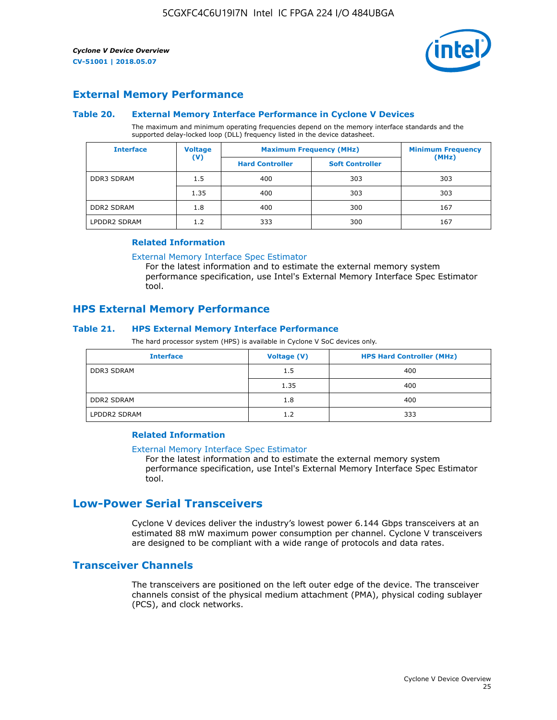

## **External Memory Performance**

#### **Table 20. External Memory Interface Performance in Cyclone V Devices**

The maximum and minimum operating frequencies depend on the memory interface standards and the supported delay-locked loop (DLL) frequency listed in the device datasheet.

| <b>Voltage</b><br><b>Interface</b> |                | <b>Maximum Frequency (MHz)</b> | <b>Minimum Frequency</b> |       |
|------------------------------------|----------------|--------------------------------|--------------------------|-------|
|                                    | $(\mathsf{V})$ | <b>Hard Controller</b>         | <b>Soft Controller</b>   | (MHz) |
| <b>DDR3 SDRAM</b>                  | 1.5            | 400                            | 303                      | 303   |
|                                    | 1.35           | 400                            | 303                      | 303   |
| <b>DDR2 SDRAM</b>                  | 1.8            | 400                            | 300                      | 167   |
| LPDDR2 SDRAM                       | 1.2            | 333                            | 300                      | 167   |

#### **Related Information**

[External Memory Interface Spec Estimator](https://www.altera.com/solutions/technology/external-memory/spec-estimator.html)

For the latest information and to estimate the external memory system performance specification, use Intel's External Memory Interface Spec Estimator tool.

## **HPS External Memory Performance**

#### **Table 21. HPS External Memory Interface Performance**

The hard processor system (HPS) is available in Cyclone V SoC devices only.

| <b>Interface</b>  | Voltage (V) | <b>HPS Hard Controller (MHz)</b> |
|-------------------|-------------|----------------------------------|
| <b>DDR3 SDRAM</b> | 1.5         | 400                              |
|                   | 1.35        | 400                              |
| <b>DDR2 SDRAM</b> | 1.8         | 400                              |
| LPDDR2 SDRAM      | 1.2         | 333                              |

#### **Related Information**

#### [External Memory Interface Spec Estimator](https://www.altera.com/solutions/technology/external-memory/spec-estimator.html)

For the latest information and to estimate the external memory system performance specification, use Intel's External Memory Interface Spec Estimator tool.

# **Low-Power Serial Transceivers**

Cyclone V devices deliver the industry's lowest power 6.144 Gbps transceivers at an estimated 88 mW maximum power consumption per channel. Cyclone V transceivers are designed to be compliant with a wide range of protocols and data rates.

## **Transceiver Channels**

The transceivers are positioned on the left outer edge of the device. The transceiver channels consist of the physical medium attachment (PMA), physical coding sublayer (PCS), and clock networks.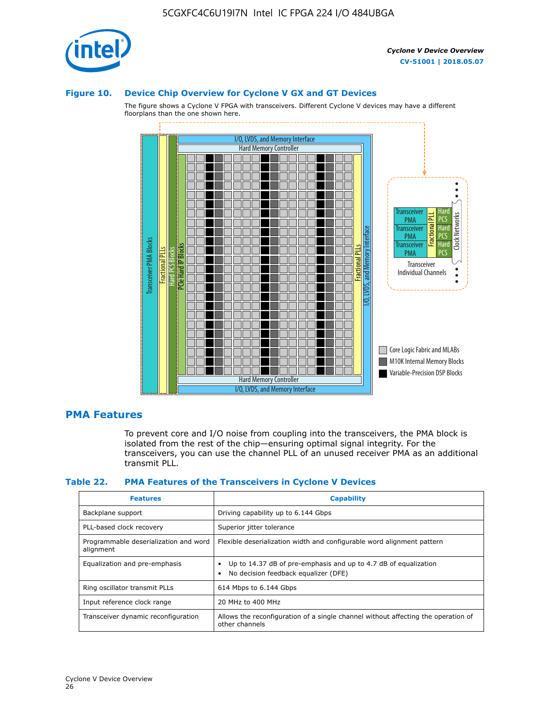

#### **Figure 10. Device Chip Overview for Cyclone V GX and GT Devices**

The figure shows a Cyclone V FPGA with transceivers. Different Cyclone V devices may have a different floorplans than the one shown here.



## **PMA Features**

To prevent core and I/O noise from coupling into the transceivers, the PMA block is isolated from the rest of the chip—ensuring optimal signal integrity. For the transceivers, you can use the channel PLL of an unused receiver PMA as an additional transmit PLL.

#### **Table 22. PMA Features of the Transceivers in Cyclone V Devices**

| <b>Features</b>                                    | <b>Capability</b>                                                                                       |
|----------------------------------------------------|---------------------------------------------------------------------------------------------------------|
| Backplane support                                  | Driving capability up to 6.144 Gbps                                                                     |
| PLL-based clock recovery                           | Superior jitter tolerance                                                                               |
| Programmable deserialization and word<br>alignment | Flexible deserialization width and configurable word alignment pattern                                  |
| Equalization and pre-emphasis                      | Up to 14.37 dB of pre-emphasis and up to 4.7 dB of equalization<br>No decision feedback equalizer (DFE) |
| Ring oscillator transmit PLLs                      | 614 Mbps to 6.144 Gbps                                                                                  |
| Input reference clock range                        | 20 MHz to 400 MHz                                                                                       |
| Transceiver dynamic reconfiguration                | Allows the reconfiguration of a single channel without affecting the operation of<br>other channels     |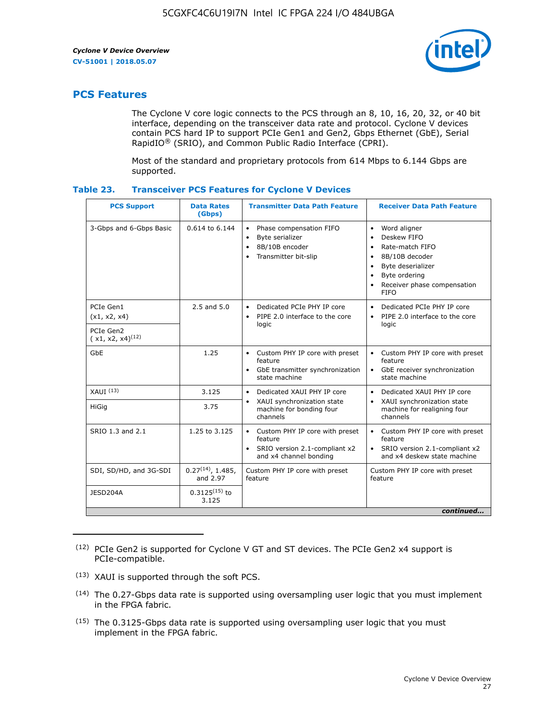

# **PCS Features**

The Cyclone V core logic connects to the PCS through an 8, 10, 16, 20, 32, or 40 bit interface, depending on the transceiver data rate and protocol. Cyclone V devices contain PCS hard IP to support PCIe Gen1 and Gen2, Gbps Ethernet (GbE), Serial RapidIO® (SRIO), and Common Public Radio Interface (CPRI).

Most of the standard and proprietary protocols from 614 Mbps to 6.144 Gbps are supported.

| Table 23. |  | <b>Transceiver PCS Features for Cyclone V Devices</b> |
|-----------|--|-------------------------------------------------------|
|           |  |                                                       |

| <b>PCS Support</b>                 | <b>Data Rates</b><br>(Gbps)        | <b>Transmitter Data Path Feature</b>                                                                         | <b>Receiver Data Path Feature</b>                                                                                                                                                                                                  |  |  |
|------------------------------------|------------------------------------|--------------------------------------------------------------------------------------------------------------|------------------------------------------------------------------------------------------------------------------------------------------------------------------------------------------------------------------------------------|--|--|
| 3-Gbps and 6-Gbps Basic            | 0.614 to 6.144                     | • Phase compensation FIFO<br>Byte serializer<br>8B/10B encoder<br>Transmitter bit-slip                       | Word aligner<br>$\bullet$<br>Deskew FIFO<br>$\bullet$<br>Rate-match FIFO<br>$\bullet$<br>8B/10B decoder<br>$\bullet$<br>Byte deserializer<br>$\bullet$<br>Byte ordering<br>$\bullet$<br>Receiver phase compensation<br><b>FIFO</b> |  |  |
| PCIe Gen1<br>(x1, x2, x4)          | $2.5$ and $5.0$                    | Dedicated PCIe PHY IP core<br>PIPE 2.0 interface to the core<br>$\bullet$<br>logic                           | Dedicated PCIe PHY IP core<br>$\bullet$<br>PIPE 2.0 interface to the core<br>$\bullet$<br>logic                                                                                                                                    |  |  |
| PCIe Gen2<br>$(x1, x2, x4)^{(12)}$ |                                    |                                                                                                              |                                                                                                                                                                                                                                    |  |  |
| GbE                                | 1.25                               | • Custom PHY IP core with preset<br>feature<br>GbE transmitter synchronization<br>$\bullet$<br>state machine | • Custom PHY IP core with preset<br>feature<br>GbE receiver synchronization<br>state machine                                                                                                                                       |  |  |
| $XAUI$ $(13)$                      | 3.125                              | Dedicated XAUI PHY IP core<br>$\bullet$                                                                      | Dedicated XAUI PHY IP core<br>$\bullet$                                                                                                                                                                                            |  |  |
| <b>HiGig</b>                       | 3.75                               | XAUI synchronization state<br>$\bullet$<br>machine for bonding four<br>channels                              | XAUI synchronization state<br>$\bullet$<br>machine for realigning four<br>channels                                                                                                                                                 |  |  |
| SRIO 1.3 and 2.1                   | 1.25 to 3.125                      | • Custom PHY IP core with preset<br>feature<br>• SRIO version 2.1-compliant x2<br>and x4 channel bonding     | • Custom PHY IP core with preset<br>feature<br>• SRIO version 2.1-compliant x2<br>and x4 deskew state machine                                                                                                                      |  |  |
| SDI, SD/HD, and 3G-SDI             | $0.27^{(14)}$ , 1.485,<br>and 2.97 | Custom PHY IP core with preset<br>feature                                                                    | Custom PHY IP core with preset<br>feature                                                                                                                                                                                          |  |  |
| JESD204A                           | $0.3125^{(15)}$ to<br>3.125        |                                                                                                              |                                                                                                                                                                                                                                    |  |  |
| continued                          |                                    |                                                                                                              |                                                                                                                                                                                                                                    |  |  |

<sup>(12)</sup> PCIe Gen2 is supported for Cyclone V GT and ST devices. The PCIe Gen2 x4 support is PCIe-compatible.

<sup>(13)</sup> XAUI is supported through the soft PCS.

<sup>(14)</sup> The 0.27-Gbps data rate is supported using oversampling user logic that you must implement in the FPGA fabric.

<sup>(15)</sup> The 0.3125-Gbps data rate is supported using oversampling user logic that you must implement in the FPGA fabric.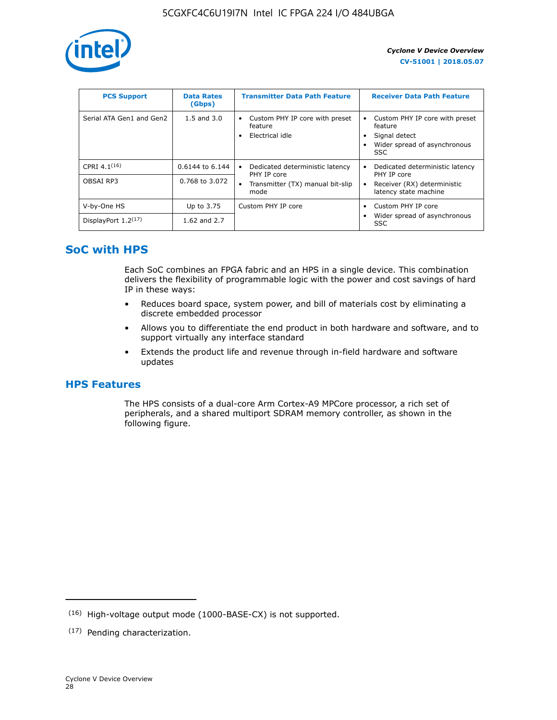

| <b>PCS Support</b>       | <b>Data Rates</b><br>(Gbps) | <b>Transmitter Data Path Feature</b>                         | <b>Receiver Data Path Feature</b>                                                                  |
|--------------------------|-----------------------------|--------------------------------------------------------------|----------------------------------------------------------------------------------------------------|
| Serial ATA Gen1 and Gen2 | $1.5$ and $3.0$             | Custom PHY IP core with preset<br>feature<br>Electrical idle | Custom PHY IP core with preset<br>feature<br>Signal detect<br>Wider spread of asynchronous<br>SSC. |
| CPRI $4.1^{(16)}$        | 0.6144 to 6.144             | Dedicated deterministic latency<br>$\bullet$<br>PHY IP core  | Dedicated deterministic latency<br>PHY IP core                                                     |
| OBSAI RP3                | 0.768 to 3.072              | Transmitter (TX) manual bit-slip<br>mode                     | Receiver (RX) deterministic<br>latency state machine                                               |
| V-by-One HS              | Up to 3.75                  | Custom PHY IP core                                           | Custom PHY IP core                                                                                 |
| DisplayPort $1.2^{(17)}$ | 1.62 and $2.7$              |                                                              | Wider spread of asynchronous<br><b>SSC</b>                                                         |

# **SoC with HPS**

Each SoC combines an FPGA fabric and an HPS in a single device. This combination delivers the flexibility of programmable logic with the power and cost savings of hard IP in these ways:

- Reduces board space, system power, and bill of materials cost by eliminating a discrete embedded processor
- Allows you to differentiate the end product in both hardware and software, and to support virtually any interface standard
- Extends the product life and revenue through in-field hardware and software updates

# **HPS Features**

The HPS consists of a dual-core Arm Cortex-A9 MPCore processor, a rich set of peripherals, and a shared multiport SDRAM memory controller, as shown in the following figure.

<sup>(16)</sup> High-voltage output mode (1000-BASE-CX) is not supported.

<sup>(17)</sup> Pending characterization.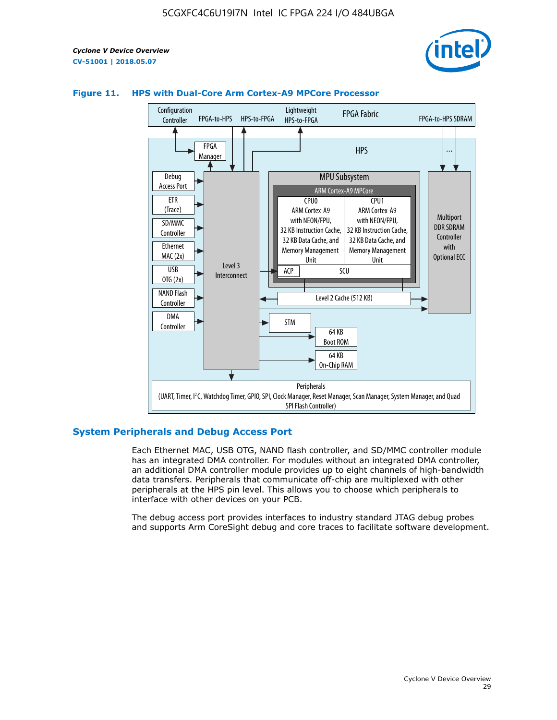



#### **Figure 11. HPS with Dual-Core Arm Cortex-A9 MPCore Processor**

#### **System Peripherals and Debug Access Port**

Each Ethernet MAC, USB OTG, NAND flash controller, and SD/MMC controller module has an integrated DMA controller. For modules without an integrated DMA controller, an additional DMA controller module provides up to eight channels of high-bandwidth data transfers. Peripherals that communicate off-chip are multiplexed with other peripherals at the HPS pin level. This allows you to choose which peripherals to interface with other devices on your PCB.

The debug access port provides interfaces to industry standard JTAG debug probes and supports Arm CoreSight debug and core traces to facilitate software development.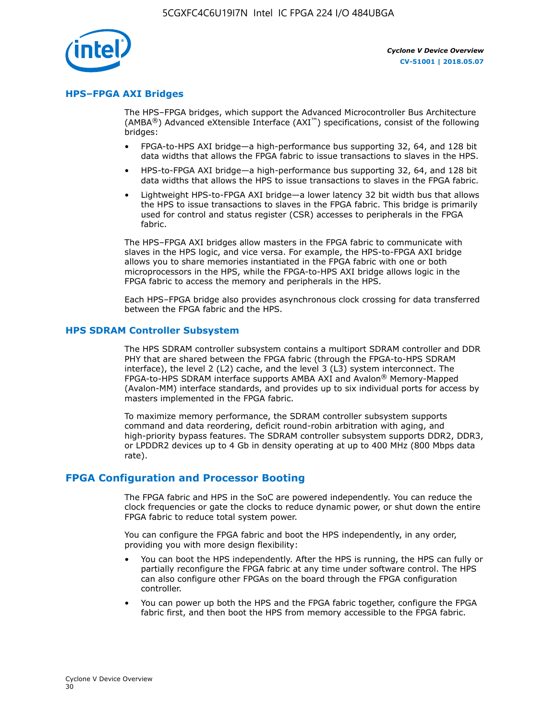

#### **HPS–FPGA AXI Bridges**

The HPS–FPGA bridges, which support the Advanced Microcontroller Bus Architecture (AMBA<sup>®</sup>) Advanced eXtensible Interface (AXI<sup>™</sup>) specifications, consist of the following bridges:

- FPGA-to-HPS AXI bridge—a high-performance bus supporting 32, 64, and 128 bit data widths that allows the FPGA fabric to issue transactions to slaves in the HPS.
- HPS-to-FPGA AXI bridge—a high-performance bus supporting 32, 64, and 128 bit data widths that allows the HPS to issue transactions to slaves in the FPGA fabric.
- Lightweight HPS-to-FPGA AXI bridge—a lower latency 32 bit width bus that allows the HPS to issue transactions to slaves in the FPGA fabric. This bridge is primarily used for control and status register (CSR) accesses to peripherals in the FPGA fabric.

The HPS–FPGA AXI bridges allow masters in the FPGA fabric to communicate with slaves in the HPS logic, and vice versa. For example, the HPS-to-FPGA AXI bridge allows you to share memories instantiated in the FPGA fabric with one or both microprocessors in the HPS, while the FPGA-to-HPS AXI bridge allows logic in the FPGA fabric to access the memory and peripherals in the HPS.

Each HPS–FPGA bridge also provides asynchronous clock crossing for data transferred between the FPGA fabric and the HPS.

#### **HPS SDRAM Controller Subsystem**

The HPS SDRAM controller subsystem contains a multiport SDRAM controller and DDR PHY that are shared between the FPGA fabric (through the FPGA-to-HPS SDRAM interface), the level 2 (L2) cache, and the level 3 (L3) system interconnect. The FPGA-to-HPS SDRAM interface supports AMBA AXI and Avalon® Memory-Mapped (Avalon-MM) interface standards, and provides up to six individual ports for access by masters implemented in the FPGA fabric.

To maximize memory performance, the SDRAM controller subsystem supports command and data reordering, deficit round-robin arbitration with aging, and high-priority bypass features. The SDRAM controller subsystem supports DDR2, DDR3, or LPDDR2 devices up to 4 Gb in density operating at up to 400 MHz (800 Mbps data rate).

#### **FPGA Configuration and Processor Booting**

The FPGA fabric and HPS in the SoC are powered independently. You can reduce the clock frequencies or gate the clocks to reduce dynamic power, or shut down the entire FPGA fabric to reduce total system power.

You can configure the FPGA fabric and boot the HPS independently, in any order, providing you with more design flexibility:

- You can boot the HPS independently. After the HPS is running, the HPS can fully or partially reconfigure the FPGA fabric at any time under software control. The HPS can also configure other FPGAs on the board through the FPGA configuration controller.
- You can power up both the HPS and the FPGA fabric together, configure the FPGA fabric first, and then boot the HPS from memory accessible to the FPGA fabric.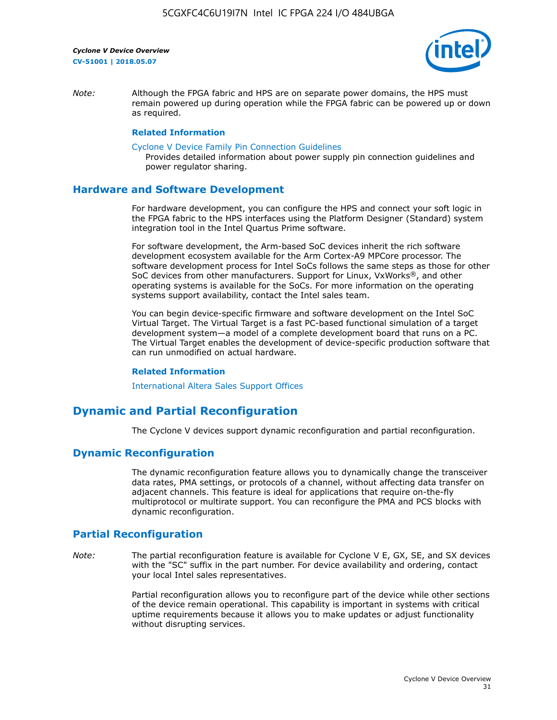

*Note:* Although the FPGA fabric and HPS are on separate power domains, the HPS must remain powered up during operation while the FPGA fabric can be powered up or down as required.

#### **Related Information**

[Cyclone V Device Family Pin Connection Guidelines](https://www.altera.com/content/dam/altera-www/global/en_US/pdfs/literature/dp/cyclone-v/pcg-01014.pdf)

Provides detailed information about power supply pin connection guidelines and power regulator sharing.

#### **Hardware and Software Development**

For hardware development, you can configure the HPS and connect your soft logic in the FPGA fabric to the HPS interfaces using the Platform Designer (Standard) system integration tool in the Intel Quartus Prime software.

For software development, the Arm-based SoC devices inherit the rich software development ecosystem available for the Arm Cortex-A9 MPCore processor. The software development process for Intel SoCs follows the same steps as those for other SoC devices from other manufacturers. Support for Linux, VxWorks®, and other operating systems is available for the SoCs. For more information on the operating systems support availability, contact the Intel sales team.

You can begin device-specific firmware and software development on the Intel SoC Virtual Target. The Virtual Target is a fast PC-based functional simulation of a target development system—a model of a complete development board that runs on a PC. The Virtual Target enables the development of device-specific production software that can run unmodified on actual hardware.

#### **Related Information**

[International Altera Sales Support Offices](https://www.altera.com/about/contact/contact/international-altera-sales-offices.html)

# **Dynamic and Partial Reconfiguration**

The Cyclone V devices support dynamic reconfiguration and partial reconfiguration.

## **Dynamic Reconfiguration**

The dynamic reconfiguration feature allows you to dynamically change the transceiver data rates, PMA settings, or protocols of a channel, without affecting data transfer on adjacent channels. This feature is ideal for applications that require on-the-fly multiprotocol or multirate support. You can reconfigure the PMA and PCS blocks with dynamic reconfiguration.

# **Partial Reconfiguration**

*Note:* The partial reconfiguration feature is available for Cyclone V E, GX, SE, and SX devices with the "SC" suffix in the part number. For device availability and ordering, contact your local Intel sales representatives.

> Partial reconfiguration allows you to reconfigure part of the device while other sections of the device remain operational. This capability is important in systems with critical uptime requirements because it allows you to make updates or adjust functionality without disrupting services.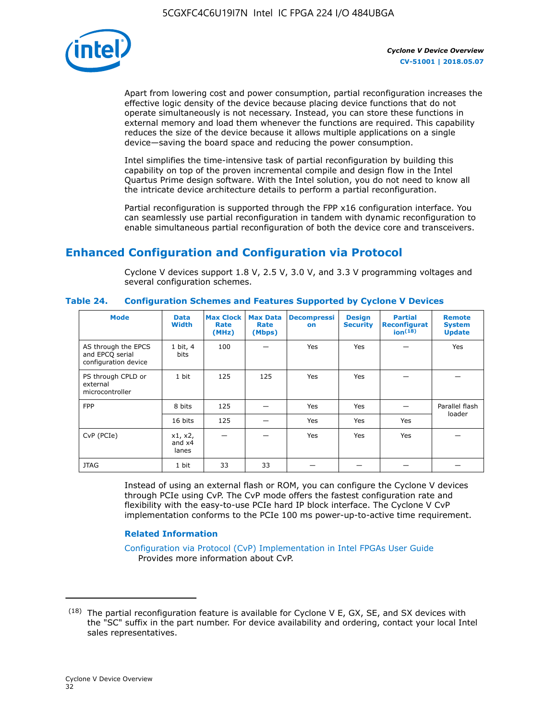

Apart from lowering cost and power consumption, partial reconfiguration increases the effective logic density of the device because placing device functions that do not operate simultaneously is not necessary. Instead, you can store these functions in external memory and load them whenever the functions are required. This capability reduces the size of the device because it allows multiple applications on a single device—saving the board space and reducing the power consumption.

Intel simplifies the time-intensive task of partial reconfiguration by building this capability on top of the proven incremental compile and design flow in the Intel Quartus Prime design software. With the Intel solution, you do not need to know all the intricate device architecture details to perform a partial reconfiguration.

Partial reconfiguration is supported through the FPP x16 configuration interface. You can seamlessly use partial reconfiguration in tandem with dynamic reconfiguration to enable simultaneous partial reconfiguration of both the device core and transceivers.

# **Enhanced Configuration and Configuration via Protocol**

Cyclone V devices support 1.8 V, 2.5 V, 3.0 V, and 3.3 V programming voltages and several configuration schemes.

| <b>Mode</b>                                                    | <b>Data</b><br>Width         | Max Clock  <br>Rate<br>(MHz) | <b>Max Data</b><br>Rate<br>(Mbps) | <b>Decompressi</b><br>on | <b>Design</b><br><b>Security</b> | <b>Partial</b><br>Reconfigurat<br>ion <sup>(18)</sup> | <b>Remote</b><br><b>System</b><br><b>Update</b> |
|----------------------------------------------------------------|------------------------------|------------------------------|-----------------------------------|--------------------------|----------------------------------|-------------------------------------------------------|-------------------------------------------------|
| AS through the EPCS<br>and EPCQ serial<br>configuration device | 1 bit, 4<br>bits             | 100                          |                                   | Yes                      | <b>Yes</b>                       |                                                       | Yes                                             |
| PS through CPLD or<br>external<br>microcontroller              | 1 bit                        | 125                          | 125                               | Yes                      | Yes                              |                                                       |                                                 |
| <b>FPP</b>                                                     | 8 bits                       | 125                          |                                   | Yes                      | <b>Yes</b>                       |                                                       | Parallel flash                                  |
|                                                                | 16 bits                      | 125                          |                                   | Yes                      | <b>Yes</b>                       | Yes                                                   | loader                                          |
| CvP (PCIe)                                                     | x1, x2,<br>and $x4$<br>lanes |                              |                                   | Yes                      | <b>Yes</b>                       | Yes                                                   |                                                 |
| <b>JTAG</b>                                                    | 1 bit                        | 33                           | 33                                |                          |                                  |                                                       |                                                 |

**Table 24. Configuration Schemes and Features Supported by Cyclone V Devices**

Instead of using an external flash or ROM, you can configure the Cyclone V devices through PCIe using CvP. The CvP mode offers the fastest configuration rate and flexibility with the easy-to-use PCIe hard IP block interface. The Cyclone V CvP implementation conforms to the PCIe 100 ms power-up-to-active time requirement.

## **Related Information**

[Configuration via Protocol \(CvP\) Implementation in Intel FPGAs User Guide](https://www.altera.com/documentation/nik1412546950394.html#nik1412546833714) Provides more information about CvP.

 $(18)$  The partial reconfiguration feature is available for Cyclone V E, GX, SE, and SX devices with the "SC" suffix in the part number. For device availability and ordering, contact your local Intel sales representatives.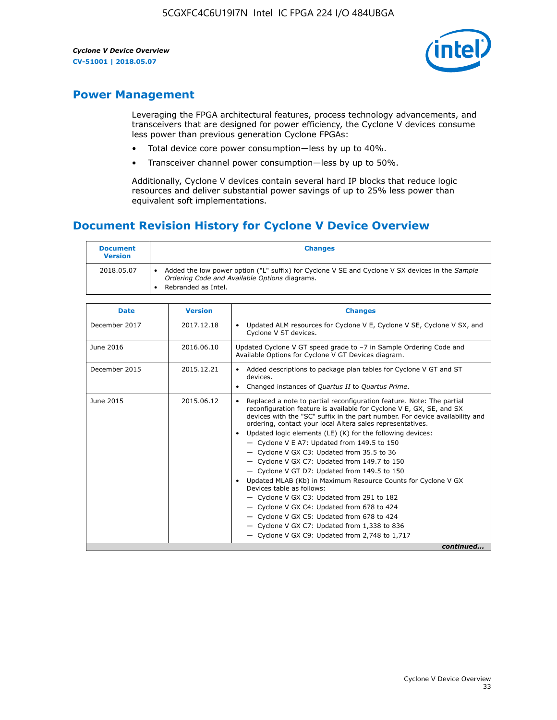

# **Power Management**

Leveraging the FPGA architectural features, process technology advancements, and transceivers that are designed for power efficiency, the Cyclone V devices consume less power than previous generation Cyclone FPGAs:

- Total device core power consumption—less by up to 40%.
- Transceiver channel power consumption—less by up to 50%.

Additionally, Cyclone V devices contain several hard IP blocks that reduce logic resources and deliver substantial power savings of up to 25% less power than equivalent soft implementations.

# **Document Revision History for Cyclone V Device Overview**

| <b>Document</b><br><b>Version</b> | <b>Changes</b>                                                                                                                                                          |
|-----------------------------------|-------------------------------------------------------------------------------------------------------------------------------------------------------------------------|
| 2018.05.07                        | Added the low power option ("L" suffix) for Cyclone V SE and Cyclone V SX devices in the Sample<br>Ordering Code and Available Options diagrams.<br>Rebranded as Intel. |

| <b>Date</b>   | <b>Version</b> | <b>Changes</b>                                                                                                                                                                                                                                                                                                                                                                                                                                                                                                                                                                                                                                                                                                                                                                                                                                                                                                  |
|---------------|----------------|-----------------------------------------------------------------------------------------------------------------------------------------------------------------------------------------------------------------------------------------------------------------------------------------------------------------------------------------------------------------------------------------------------------------------------------------------------------------------------------------------------------------------------------------------------------------------------------------------------------------------------------------------------------------------------------------------------------------------------------------------------------------------------------------------------------------------------------------------------------------------------------------------------------------|
| December 2017 | 2017.12.18     | Updated ALM resources for Cyclone V E, Cyclone V SE, Cyclone V SX, and<br>Cyclone V ST devices.                                                                                                                                                                                                                                                                                                                                                                                                                                                                                                                                                                                                                                                                                                                                                                                                                 |
| June 2016     | 2016.06.10     | Updated Cyclone V GT speed grade to -7 in Sample Ordering Code and<br>Available Options for Cyclone V GT Devices diagram.                                                                                                                                                                                                                                                                                                                                                                                                                                                                                                                                                                                                                                                                                                                                                                                       |
| December 2015 | 2015.12.21     | Added descriptions to package plan tables for Cyclone V GT and ST<br>devices.<br>Changed instances of Quartus II to Quartus Prime.                                                                                                                                                                                                                                                                                                                                                                                                                                                                                                                                                                                                                                                                                                                                                                              |
| June 2015     | 2015.06.12     | Replaced a note to partial reconfiguration feature. Note: The partial<br>reconfiguration feature is available for Cyclone V E, GX, SE, and SX<br>devices with the "SC" suffix in the part number. For device availability and<br>ordering, contact your local Altera sales representatives.<br>Updated logic elements (LE) (K) for the following devices:<br>$\bullet$<br>- Cyclone V E A7: Updated from 149.5 to 150<br>- Cyclone V GX C3: Updated from 35.5 to 36<br>- Cyclone V GX C7: Updated from 149.7 to 150<br>- Cyclone V GT D7: Updated from 149.5 to 150<br>Updated MLAB (Kb) in Maximum Resource Counts for Cyclone V GX<br>Devices table as follows:<br>- Cyclone V GX C3: Updated from 291 to 182<br>- Cyclone V GX C4: Updated from 678 to 424<br>- Cyclone V GX C5: Updated from 678 to 424<br>- Cyclone V GX C7: Updated from 1,338 to 836<br>$-$ Cyclone V GX C9: Updated from 2,748 to 1,717 |
|               |                | continued                                                                                                                                                                                                                                                                                                                                                                                                                                                                                                                                                                                                                                                                                                                                                                                                                                                                                                       |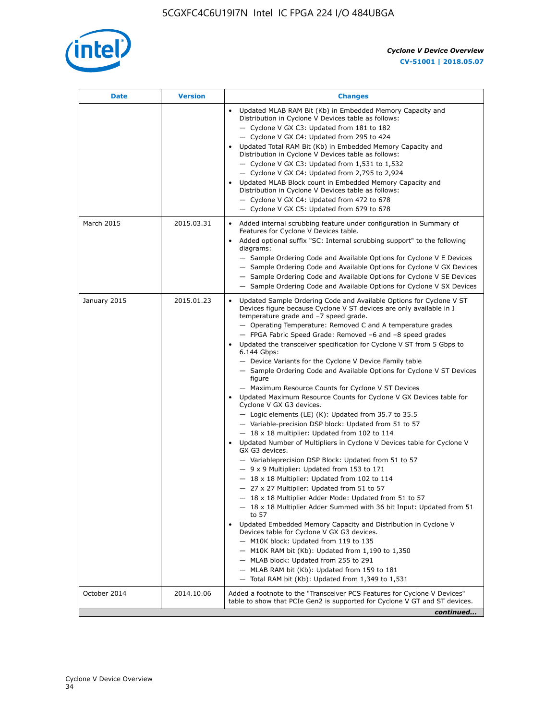

| Date         | <b>Version</b> | <b>Changes</b>                                                                                                                                                                                                                                                                                                                                                                                                                                                                                                                                                                                                                                                                                                                                                                                                                                                                                                                                                                                                                                                                                                                                                                                                                                                                                                                                                                                                                                                                                                                                                                                                                                                                                                  |
|--------------|----------------|-----------------------------------------------------------------------------------------------------------------------------------------------------------------------------------------------------------------------------------------------------------------------------------------------------------------------------------------------------------------------------------------------------------------------------------------------------------------------------------------------------------------------------------------------------------------------------------------------------------------------------------------------------------------------------------------------------------------------------------------------------------------------------------------------------------------------------------------------------------------------------------------------------------------------------------------------------------------------------------------------------------------------------------------------------------------------------------------------------------------------------------------------------------------------------------------------------------------------------------------------------------------------------------------------------------------------------------------------------------------------------------------------------------------------------------------------------------------------------------------------------------------------------------------------------------------------------------------------------------------------------------------------------------------------------------------------------------------|
|              |                | Updated MLAB RAM Bit (Kb) in Embedded Memory Capacity and<br>Distribution in Cyclone V Devices table as follows:<br>- Cyclone V GX C3: Updated from 181 to 182<br>- Cyclone V GX C4: Updated from 295 to 424<br>Updated Total RAM Bit (Kb) in Embedded Memory Capacity and<br>Distribution in Cyclone V Devices table as follows:<br>$-$ Cyclone V GX C3: Updated from 1,531 to 1,532<br>- Cyclone V GX C4: Updated from 2,795 to 2,924<br>Updated MLAB Block count in Embedded Memory Capacity and<br>Distribution in Cyclone V Devices table as follows:<br>- Cyclone V GX C4: Updated from 472 to 678<br>- Cyclone V GX C5: Updated from 679 to 678                                                                                                                                                                                                                                                                                                                                                                                                                                                                                                                                                                                                                                                                                                                                                                                                                                                                                                                                                                                                                                                          |
| March 2015   | 2015.03.31     | Added internal scrubbing feature under configuration in Summary of<br>Features for Cyclone V Devices table.<br>Added optional suffix "SC: Internal scrubbing support" to the following<br>diagrams:<br>- Sample Ordering Code and Available Options for Cyclone V E Devices<br>- Sample Ordering Code and Available Options for Cyclone V GX Devices<br>- Sample Ordering Code and Available Options for Cyclone V SE Devices<br>- Sample Ordering Code and Available Options for Cyclone V SX Devices                                                                                                                                                                                                                                                                                                                                                                                                                                                                                                                                                                                                                                                                                                                                                                                                                                                                                                                                                                                                                                                                                                                                                                                                          |
| January 2015 | 2015.01.23     | Updated Sample Ordering Code and Available Options for Cyclone V ST<br>Devices figure because Cyclone V ST devices are only available in I<br>temperature grade and -7 speed grade.<br>- Operating Temperature: Removed C and A temperature grades<br>- FPGA Fabric Speed Grade: Removed -6 and -8 speed grades<br>Updated the transceiver specification for Cyclone V ST from 5 Gbps to<br>6.144 Gbps:<br>- Device Variants for the Cyclone V Device Family table<br>- Sample Ordering Code and Available Options for Cyclone V ST Devices<br>figure<br>- Maximum Resource Counts for Cyclone V ST Devices<br>• Updated Maximum Resource Counts for Cyclone V GX Devices table for<br>Cyclone V GX G3 devices.<br>$-$ Logic elements (LE) (K): Updated from 35.7 to 35.5<br>- Variable-precision DSP block: Updated from 51 to 57<br>$-18 \times 18$ multiplier: Updated from 102 to 114<br>Updated Number of Multipliers in Cyclone V Devices table for Cyclone V<br>GX G3 devices.<br>- Variableprecision DSP Block: Updated from 51 to 57<br>$-9x9$ Multiplier: Updated from 153 to 171<br>$-18 \times 18$ Multiplier: Updated from 102 to 114<br>- 27 x 27 Multiplier: Updated from 51 to 57<br>- 18 x 18 Multiplier Adder Mode: Updated from 51 to 57<br>$-18 \times 18$ Multiplier Adder Summed with 36 bit Input: Updated from 51<br>to 57<br>Updated Embedded Memory Capacity and Distribution in Cyclone V<br>Devices table for Cyclone V GX G3 devices.<br>- M10K block: Updated from 119 to 135<br>- M10K RAM bit (Kb): Updated from 1,190 to 1,350<br>- MLAB block: Updated from 255 to 291<br>- MLAB RAM bit (Kb): Updated from 159 to 181<br>$-$ Total RAM bit (Kb): Updated from 1,349 to 1,531 |
| October 2014 | 2014.10.06     | Added a footnote to the "Transceiver PCS Features for Cyclone V Devices"<br>table to show that PCIe Gen2 is supported for Cyclone V GT and ST devices.                                                                                                                                                                                                                                                                                                                                                                                                                                                                                                                                                                                                                                                                                                                                                                                                                                                                                                                                                                                                                                                                                                                                                                                                                                                                                                                                                                                                                                                                                                                                                          |
|              |                | continued                                                                                                                                                                                                                                                                                                                                                                                                                                                                                                                                                                                                                                                                                                                                                                                                                                                                                                                                                                                                                                                                                                                                                                                                                                                                                                                                                                                                                                                                                                                                                                                                                                                                                                       |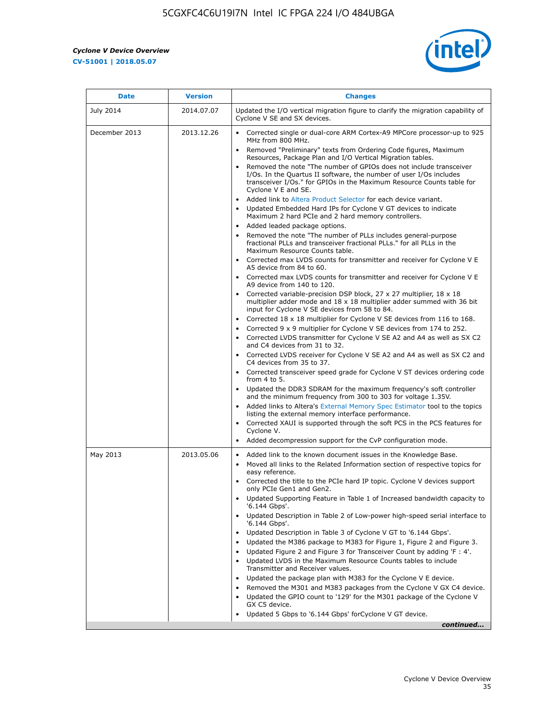r



| <b>Date</b>   | <b>Version</b> | <b>Changes</b>                                                                                                                                                                                                                           |
|---------------|----------------|------------------------------------------------------------------------------------------------------------------------------------------------------------------------------------------------------------------------------------------|
| July 2014     | 2014.07.07     | Updated the I/O vertical migration figure to clarify the migration capability of<br>Cyclone V SE and SX devices.                                                                                                                         |
| December 2013 | 2013.12.26     | Corrected single or dual-core ARM Cortex-A9 MPCore processor-up to 925<br>MHz from 800 MHz.                                                                                                                                              |
|               |                | Removed "Preliminary" texts from Ordering Code figures, Maximum<br>Resources, Package Plan and I/O Vertical Migration tables.                                                                                                            |
|               |                | Removed the note "The number of GPIOs does not include transceiver<br>I/Os. In the Quartus II software, the number of user I/Os includes<br>transceiver I/Os." for GPIOs in the Maximum Resource Counts table for<br>Cyclone V E and SE. |
|               |                | Added link to Altera Product Selector for each device variant.<br>Updated Embedded Hard IPs for Cyclone V GT devices to indicate<br>Maximum 2 hard PCIe and 2 hard memory controllers.                                                   |
|               |                | • Added leaded package options.                                                                                                                                                                                                          |
|               |                | Removed the note "The number of PLLs includes general-purpose<br>fractional PLLs and transceiver fractional PLLs." for all PLLs in the<br>Maximum Resource Counts table.                                                                 |
|               |                | • Corrected max LVDS counts for transmitter and receiver for Cyclone V E<br>A5 device from 84 to 60.                                                                                                                                     |
|               |                | • Corrected max LVDS counts for transmitter and receiver for Cyclone V E<br>A9 device from 140 to 120.                                                                                                                                   |
|               |                | Corrected variable-precision DSP block, 27 x 27 multiplier, 18 x 18<br>multiplier adder mode and 18 x 18 multiplier adder summed with 36 bit<br>input for Cyclone V SE devices from 58 to 84.                                            |
|               |                | Corrected 18 x 18 multiplier for Cyclone V SE devices from 116 to 168.                                                                                                                                                                   |
|               |                | Corrected 9 x 9 multiplier for Cyclone V SE devices from 174 to 252.                                                                                                                                                                     |
|               |                | • Corrected LVDS transmitter for Cyclone V SE A2 and A4 as well as SX C2<br>and C4 devices from 31 to 32.                                                                                                                                |
|               |                | • Corrected LVDS receiver for Cyclone V SE A2 and A4 as well as SX C2 and<br>C4 devices from 35 to 37.                                                                                                                                   |
|               |                | • Corrected transceiver speed grade for Cyclone V ST devices ordering code<br>from 4 to 5.                                                                                                                                               |
|               |                | • Updated the DDR3 SDRAM for the maximum frequency's soft controller<br>and the minimum frequency from 300 to 303 for voltage 1.35V.                                                                                                     |
|               |                | Added links to Altera's External Memory Spec Estimator tool to the topics<br>listing the external memory interface performance.                                                                                                          |
|               |                | • Corrected XAUI is supported through the soft PCS in the PCS features for<br>Cyclone V.                                                                                                                                                 |
|               |                | Added decompression support for the CvP configuration mode.                                                                                                                                                                              |
| May 2013      | 2013.05.06     | Added link to the known document issues in the Knowledge Base.<br>$\bullet$                                                                                                                                                              |
|               |                | Moved all links to the Related Information section of respective topics for<br>$\bullet$<br>easy reference.                                                                                                                              |
|               |                | • Corrected the title to the PCIe hard IP topic. Cyclone V devices support<br>only PCIe Gen1 and Gen2.                                                                                                                                   |
|               |                | • Updated Supporting Feature in Table 1 of Increased bandwidth capacity to<br>'6.144 Gbps'.                                                                                                                                              |
|               |                | Updated Description in Table 2 of Low-power high-speed serial interface to<br>'6.144 Gbps'.                                                                                                                                              |
|               |                | Updated Description in Table 3 of Cyclone V GT to '6.144 Gbps'.                                                                                                                                                                          |
|               |                | Updated the M386 package to M383 for Figure 1, Figure 2 and Figure 3.<br>$\bullet$                                                                                                                                                       |
|               |                | Updated Figure 2 and Figure 3 for Transceiver Count by adding 'F : 4'.<br>$\bullet$                                                                                                                                                      |
|               |                | Updated LVDS in the Maximum Resource Counts tables to include<br>Transmitter and Receiver values.                                                                                                                                        |
|               |                | Updated the package plan with M383 for the Cyclone V E device.                                                                                                                                                                           |
|               |                | Removed the M301 and M383 packages from the Cyclone V GX C4 device.                                                                                                                                                                      |
|               |                | Updated the GPIO count to '129' for the M301 package of the Cyclone V<br>GX C5 device.                                                                                                                                                   |
|               |                | Updated 5 Gbps to '6.144 Gbps' for Cyclone V GT device.                                                                                                                                                                                  |
|               |                | continued                                                                                                                                                                                                                                |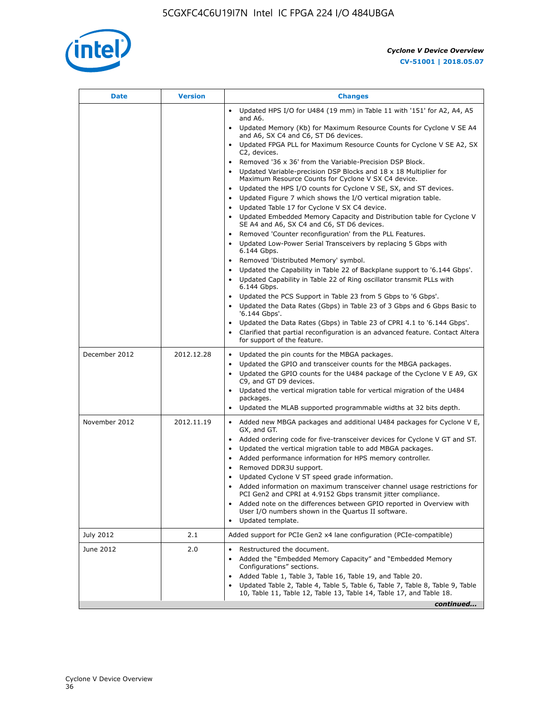

| <b>Date</b>   | <b>Version</b> | <b>Changes</b>                                                                                                                                                                                                                                                                                                                                                                                                                                                                                                                                                                                                                                                                                             |
|---------------|----------------|------------------------------------------------------------------------------------------------------------------------------------------------------------------------------------------------------------------------------------------------------------------------------------------------------------------------------------------------------------------------------------------------------------------------------------------------------------------------------------------------------------------------------------------------------------------------------------------------------------------------------------------------------------------------------------------------------------|
|               |                | Updated HPS I/O for U484 (19 mm) in Table 11 with '151' for A2, A4, A5<br>and A6.                                                                                                                                                                                                                                                                                                                                                                                                                                                                                                                                                                                                                          |
|               |                | Updated Memory (Kb) for Maximum Resource Counts for Cyclone V SE A4<br>and A6, SX C4 and C6, ST D6 devices.                                                                                                                                                                                                                                                                                                                                                                                                                                                                                                                                                                                                |
|               |                | Updated FPGA PLL for Maximum Resource Counts for Cyclone V SE A2, SX<br>C2, devices.                                                                                                                                                                                                                                                                                                                                                                                                                                                                                                                                                                                                                       |
|               |                | Removed '36 x 36' from the Variable-Precision DSP Block.<br>Updated Variable-precision DSP Blocks and $18 \times 18$ Multiplier for<br>Maximum Resource Counts for Cyclone V SX C4 device.                                                                                                                                                                                                                                                                                                                                                                                                                                                                                                                 |
|               |                | Updated the HPS I/O counts for Cyclone V SE, SX, and ST devices.<br>Updated Figure 7 which shows the I/O vertical migration table.<br>Updated Table 17 for Cyclone V SX C4 device.<br>$\bullet$                                                                                                                                                                                                                                                                                                                                                                                                                                                                                                            |
|               |                | • Updated Embedded Memory Capacity and Distribution table for Cyclone V<br>SE A4 and A6, SX C4 and C6, ST D6 devices.                                                                                                                                                                                                                                                                                                                                                                                                                                                                                                                                                                                      |
|               |                | Removed 'Counter reconfiguration' from the PLL Features.<br>$\bullet$<br>Updated Low-Power Serial Transceivers by replacing 5 Gbps with<br>6.144 Gbps.                                                                                                                                                                                                                                                                                                                                                                                                                                                                                                                                                     |
|               |                | Removed 'Distributed Memory' symbol.<br>Updated the Capability in Table 22 of Backplane support to '6.144 Gbps'.<br>Updated Capability in Table 22 of Ring oscillator transmit PLLs with<br>6.144 Gbps.<br>Updated the PCS Support in Table 23 from 5 Gbps to '6 Gbps'.<br>Updated the Data Rates (Gbps) in Table 23 of 3 Gbps and 6 Gbps Basic to<br>$\bullet$                                                                                                                                                                                                                                                                                                                                            |
|               |                | '6.144 Gbps'.<br>Updated the Data Rates (Gbps) in Table 23 of CPRI 4.1 to '6.144 Gbps'.<br>Clarified that partial reconfiguration is an advanced feature. Contact Altera<br>for support of the feature.                                                                                                                                                                                                                                                                                                                                                                                                                                                                                                    |
| December 2012 | 2012.12.28     | Updated the pin counts for the MBGA packages.<br>$\bullet$<br>Updated the GPIO and transceiver counts for the MBGA packages.<br>$\bullet$<br>Updated the GPIO counts for the U484 package of the Cyclone V E A9, GX<br>C9, and GT D9 devices.                                                                                                                                                                                                                                                                                                                                                                                                                                                              |
|               |                | Updated the vertical migration table for vertical migration of the U484<br>packages.<br>Updated the MLAB supported programmable widths at 32 bits depth.                                                                                                                                                                                                                                                                                                                                                                                                                                                                                                                                                   |
| November 2012 | 2012.11.19     | • Added new MBGA packages and additional U484 packages for Cyclone V E,<br>GX, and GT.<br>Added ordering code for five-transceiver devices for Cyclone V GT and ST.<br>$\bullet$<br>Updated the vertical migration table to add MBGA packages.<br>٠<br>Added performance information for HPS memory controller.<br>٠<br>Removed DDR3U support.<br>$\bullet$<br>Updated Cyclone V ST speed grade information.<br>Added information on maximum transceiver channel usage restrictions for<br>PCI Gen2 and CPRI at 4.9152 Gbps transmit jitter compliance.<br>Added note on the differences between GPIO reported in Overview with<br>User I/O numbers shown in the Quartus II software.<br>Updated template. |
| July 2012     | 2.1            | Added support for PCIe Gen2 x4 lane configuration (PCIe-compatible)                                                                                                                                                                                                                                                                                                                                                                                                                                                                                                                                                                                                                                        |
| June 2012     | 2.0            | Restructured the document.<br>Added the "Embedded Memory Capacity" and "Embedded Memory<br>Configurations" sections.<br>Added Table 1, Table 3, Table 16, Table 19, and Table 20.<br>$\bullet$<br>Updated Table 2, Table 4, Table 5, Table 6, Table 7, Table 8, Table 9, Table<br>10, Table 11, Table 12, Table 13, Table 14, Table 17, and Table 18.                                                                                                                                                                                                                                                                                                                                                      |
|               |                | continued                                                                                                                                                                                                                                                                                                                                                                                                                                                                                                                                                                                                                                                                                                  |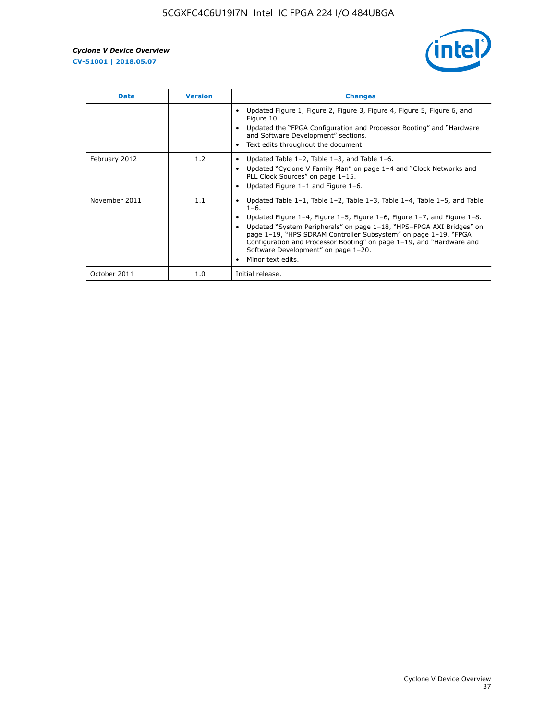

| <b>Date</b>   | <b>Version</b> | <b>Changes</b>                                                                                                                                                                                                                                                                                                                                                                                                                                                                           |
|---------------|----------------|------------------------------------------------------------------------------------------------------------------------------------------------------------------------------------------------------------------------------------------------------------------------------------------------------------------------------------------------------------------------------------------------------------------------------------------------------------------------------------------|
|               |                | Updated Figure 1, Figure 2, Figure 3, Figure 4, Figure 5, Figure 6, and<br>Figure 10.<br>Updated the "FPGA Configuration and Processor Booting" and "Hardware"<br>and Software Development" sections.<br>Text edits throughout the document.                                                                                                                                                                                                                                             |
| February 2012 | 1.2            | Updated Table $1-2$ , Table $1-3$ , and Table $1-6$ .<br>Updated "Cyclone V Family Plan" on page 1-4 and "Clock Networks and<br>PLL Clock Sources" on page 1-15.<br>Updated Figure 1-1 and Figure 1-6.                                                                                                                                                                                                                                                                                   |
| November 2011 | 1.1            | Updated Table $1-1$ , Table $1-2$ , Table $1-3$ , Table $1-4$ , Table $1-5$ , and Table<br>$1 - 6$ .<br>Updated Figure 1–4, Figure 1–5, Figure 1–6, Figure 1–7, and Figure 1–8.<br>Updated "System Peripherals" on page 1-18, "HPS-FPGA AXI Bridges" on<br>$\bullet$<br>page 1-19, "HPS SDRAM Controller Subsystem" on page 1-19, "FPGA<br>Configuration and Processor Booting" on page 1-19, and "Hardware and<br>Software Development" on page 1-20.<br>Minor text edits.<br>$\bullet$ |
| October 2011  | 1.0            | Initial release.                                                                                                                                                                                                                                                                                                                                                                                                                                                                         |